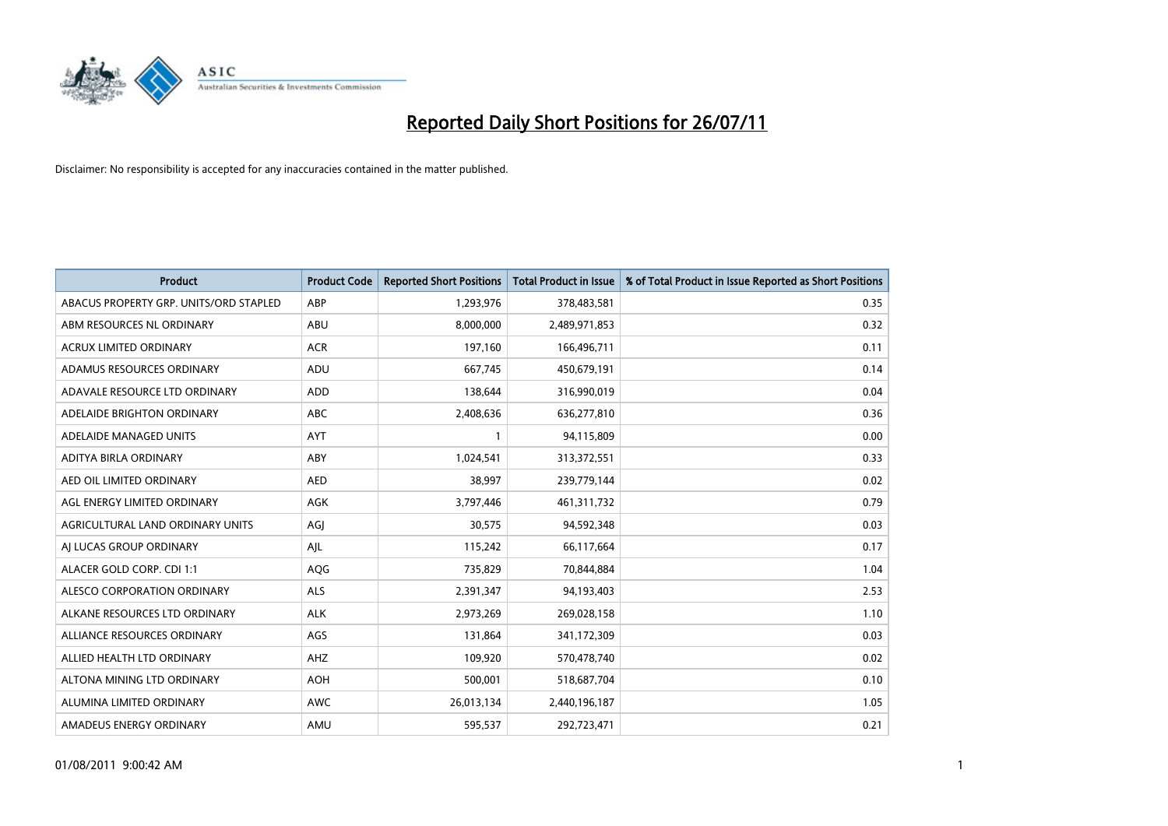

| <b>Product</b>                         | <b>Product Code</b> | <b>Reported Short Positions</b> | <b>Total Product in Issue</b> | % of Total Product in Issue Reported as Short Positions |
|----------------------------------------|---------------------|---------------------------------|-------------------------------|---------------------------------------------------------|
| ABACUS PROPERTY GRP. UNITS/ORD STAPLED | ABP                 | 1,293,976                       | 378,483,581                   | 0.35                                                    |
| ABM RESOURCES NL ORDINARY              | ABU                 | 8,000,000                       | 2,489,971,853                 | 0.32                                                    |
| <b>ACRUX LIMITED ORDINARY</b>          | <b>ACR</b>          | 197,160                         | 166,496,711                   | 0.11                                                    |
| ADAMUS RESOURCES ORDINARY              | ADU                 | 667,745                         | 450,679,191                   | 0.14                                                    |
| ADAVALE RESOURCE LTD ORDINARY          | <b>ADD</b>          | 138.644                         | 316,990,019                   | 0.04                                                    |
| ADELAIDE BRIGHTON ORDINARY             | <b>ABC</b>          | 2,408,636                       | 636,277,810                   | 0.36                                                    |
| ADELAIDE MANAGED UNITS                 | <b>AYT</b>          |                                 | 94,115,809                    | 0.00                                                    |
| ADITYA BIRLA ORDINARY                  | ABY                 | 1,024,541                       | 313,372,551                   | 0.33                                                    |
| AED OIL LIMITED ORDINARY               | <b>AED</b>          | 38,997                          | 239,779,144                   | 0.02                                                    |
| AGL ENERGY LIMITED ORDINARY            | <b>AGK</b>          | 3,797,446                       | 461,311,732                   | 0.79                                                    |
| AGRICULTURAL LAND ORDINARY UNITS       | AGJ                 | 30,575                          | 94,592,348                    | 0.03                                                    |
| AI LUCAS GROUP ORDINARY                | AJL                 | 115,242                         | 66,117,664                    | 0.17                                                    |
| ALACER GOLD CORP. CDI 1:1              | AQG                 | 735,829                         | 70,844,884                    | 1.04                                                    |
| ALESCO CORPORATION ORDINARY            | <b>ALS</b>          | 2,391,347                       | 94,193,403                    | 2.53                                                    |
| ALKANE RESOURCES LTD ORDINARY          | <b>ALK</b>          | 2,973,269                       | 269,028,158                   | 1.10                                                    |
| ALLIANCE RESOURCES ORDINARY            | AGS                 | 131,864                         | 341,172,309                   | 0.03                                                    |
| ALLIED HEALTH LTD ORDINARY             | <b>AHZ</b>          | 109,920                         | 570,478,740                   | 0.02                                                    |
| ALTONA MINING LTD ORDINARY             | <b>AOH</b>          | 500,001                         | 518,687,704                   | 0.10                                                    |
| ALUMINA LIMITED ORDINARY               | <b>AWC</b>          | 26,013,134                      | 2,440,196,187                 | 1.05                                                    |
| AMADEUS ENERGY ORDINARY                | AMU                 | 595,537                         | 292,723,471                   | 0.21                                                    |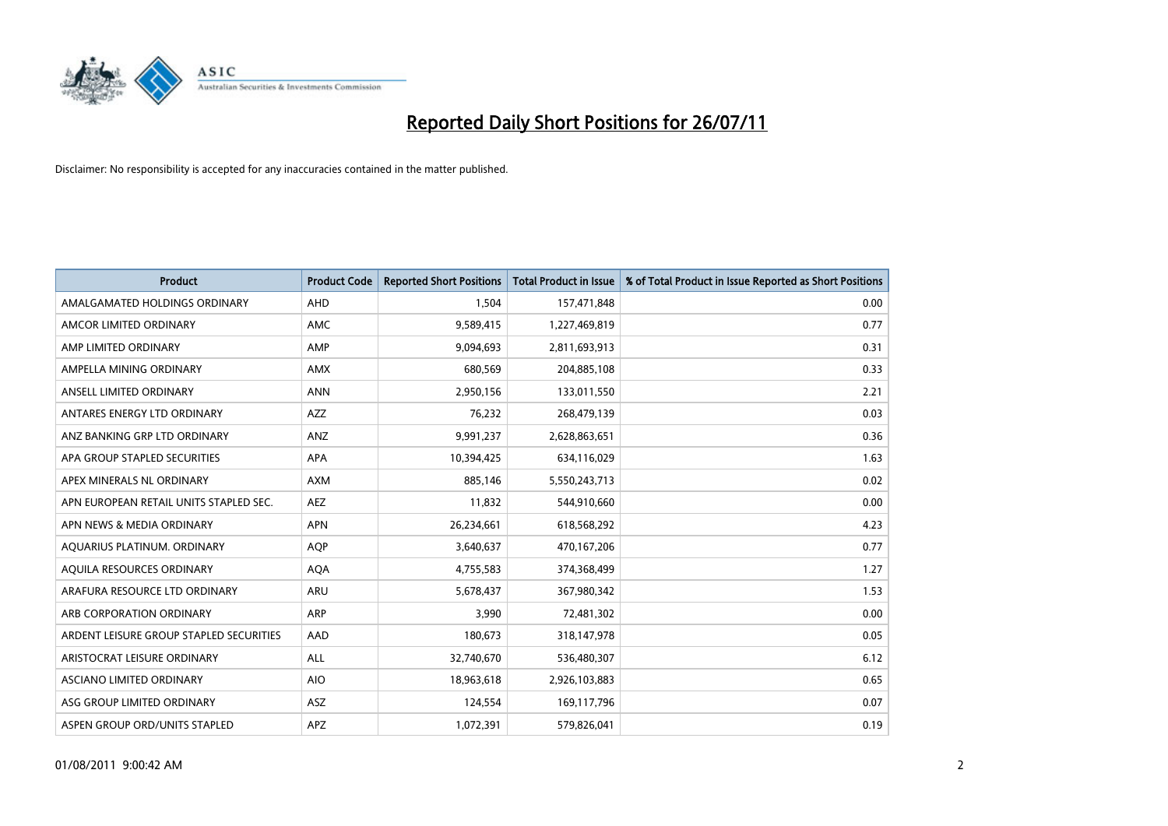

| <b>Product</b>                          | <b>Product Code</b> | <b>Reported Short Positions</b> | <b>Total Product in Issue</b> | % of Total Product in Issue Reported as Short Positions |
|-----------------------------------------|---------------------|---------------------------------|-------------------------------|---------------------------------------------------------|
| AMALGAMATED HOLDINGS ORDINARY           | AHD                 | 1,504                           | 157,471,848                   | 0.00                                                    |
| AMCOR LIMITED ORDINARY                  | <b>AMC</b>          | 9,589,415                       | 1,227,469,819                 | 0.77                                                    |
| AMP LIMITED ORDINARY                    | AMP                 | 9,094,693                       | 2,811,693,913                 | 0.31                                                    |
| AMPELLA MINING ORDINARY                 | <b>AMX</b>          | 680,569                         | 204,885,108                   | 0.33                                                    |
| ANSELL LIMITED ORDINARY                 | <b>ANN</b>          | 2,950,156                       | 133,011,550                   | 2.21                                                    |
| ANTARES ENERGY LTD ORDINARY             | <b>AZZ</b>          | 76,232                          | 268,479,139                   | 0.03                                                    |
| ANZ BANKING GRP LTD ORDINARY            | ANZ                 | 9,991,237                       | 2,628,863,651                 | 0.36                                                    |
| APA GROUP STAPLED SECURITIES            | <b>APA</b>          | 10,394,425                      | 634,116,029                   | 1.63                                                    |
| APEX MINERALS NL ORDINARY               | <b>AXM</b>          | 885,146                         | 5,550,243,713                 | 0.02                                                    |
| APN EUROPEAN RETAIL UNITS STAPLED SEC.  | <b>AEZ</b>          | 11,832                          | 544,910,660                   | 0.00                                                    |
| APN NEWS & MEDIA ORDINARY               | <b>APN</b>          | 26,234,661                      | 618,568,292                   | 4.23                                                    |
| AQUARIUS PLATINUM. ORDINARY             | <b>AOP</b>          | 3,640,637                       | 470,167,206                   | 0.77                                                    |
| AQUILA RESOURCES ORDINARY               | <b>AQA</b>          | 4,755,583                       | 374,368,499                   | 1.27                                                    |
| ARAFURA RESOURCE LTD ORDINARY           | <b>ARU</b>          | 5,678,437                       | 367,980,342                   | 1.53                                                    |
| ARB CORPORATION ORDINARY                | ARP                 | 3,990                           | 72,481,302                    | 0.00                                                    |
| ARDENT LEISURE GROUP STAPLED SECURITIES | AAD                 | 180,673                         | 318,147,978                   | 0.05                                                    |
| ARISTOCRAT LEISURE ORDINARY             | <b>ALL</b>          | 32,740,670                      | 536,480,307                   | 6.12                                                    |
| ASCIANO LIMITED ORDINARY                | <b>AIO</b>          | 18,963,618                      | 2,926,103,883                 | 0.65                                                    |
| ASG GROUP LIMITED ORDINARY              | ASZ                 | 124,554                         | 169,117,796                   | 0.07                                                    |
| ASPEN GROUP ORD/UNITS STAPLED           | <b>APZ</b>          | 1,072,391                       | 579,826,041                   | 0.19                                                    |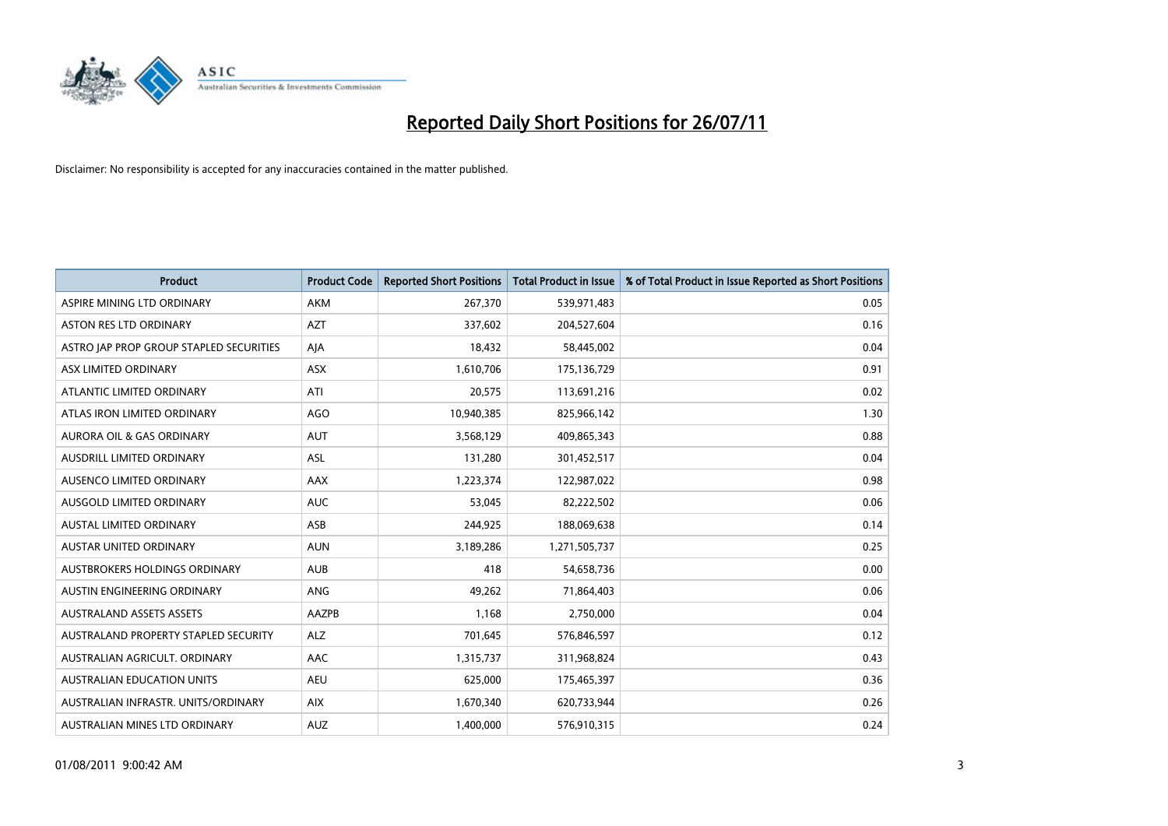

| <b>Product</b>                          | <b>Product Code</b> | <b>Reported Short Positions</b> | <b>Total Product in Issue</b> | % of Total Product in Issue Reported as Short Positions |
|-----------------------------------------|---------------------|---------------------------------|-------------------------------|---------------------------------------------------------|
| ASPIRE MINING LTD ORDINARY              | <b>AKM</b>          | 267,370                         | 539,971,483                   | 0.05                                                    |
| <b>ASTON RES LTD ORDINARY</b>           | <b>AZT</b>          | 337,602                         | 204,527,604                   | 0.16                                                    |
| ASTRO JAP PROP GROUP STAPLED SECURITIES | AJA                 | 18,432                          | 58,445,002                    | 0.04                                                    |
| ASX LIMITED ORDINARY                    | <b>ASX</b>          | 1,610,706                       | 175,136,729                   | 0.91                                                    |
| ATLANTIC LIMITED ORDINARY               | ATI                 | 20,575                          | 113,691,216                   | 0.02                                                    |
| ATLAS IRON LIMITED ORDINARY             | <b>AGO</b>          | 10,940,385                      | 825,966,142                   | 1.30                                                    |
| <b>AURORA OIL &amp; GAS ORDINARY</b>    | <b>AUT</b>          | 3,568,129                       | 409,865,343                   | 0.88                                                    |
| <b>AUSDRILL LIMITED ORDINARY</b>        | <b>ASL</b>          | 131,280                         | 301,452,517                   | 0.04                                                    |
| AUSENCO LIMITED ORDINARY                | <b>AAX</b>          | 1,223,374                       | 122,987,022                   | 0.98                                                    |
| AUSGOLD LIMITED ORDINARY                | <b>AUC</b>          | 53,045                          | 82,222,502                    | 0.06                                                    |
| AUSTAL LIMITED ORDINARY                 | ASB                 | 244,925                         | 188,069,638                   | 0.14                                                    |
| <b>AUSTAR UNITED ORDINARY</b>           | <b>AUN</b>          | 3,189,286                       | 1,271,505,737                 | 0.25                                                    |
| AUSTBROKERS HOLDINGS ORDINARY           | <b>AUB</b>          | 418                             | 54,658,736                    | 0.00                                                    |
| AUSTIN ENGINEERING ORDINARY             | ANG                 | 49,262                          | 71,864,403                    | 0.06                                                    |
| <b>AUSTRALAND ASSETS ASSETS</b>         | AAZPB               | 1,168                           | 2,750,000                     | 0.04                                                    |
| AUSTRALAND PROPERTY STAPLED SECURITY    | <b>ALZ</b>          | 701,645                         | 576,846,597                   | 0.12                                                    |
| AUSTRALIAN AGRICULT, ORDINARY           | AAC                 | 1,315,737                       | 311,968,824                   | 0.43                                                    |
| AUSTRALIAN EDUCATION UNITS              | <b>AEU</b>          | 625,000                         | 175,465,397                   | 0.36                                                    |
| AUSTRALIAN INFRASTR, UNITS/ORDINARY     | <b>AIX</b>          | 1,670,340                       | 620,733,944                   | 0.26                                                    |
| AUSTRALIAN MINES LTD ORDINARY           | <b>AUZ</b>          | 1,400,000                       | 576,910,315                   | 0.24                                                    |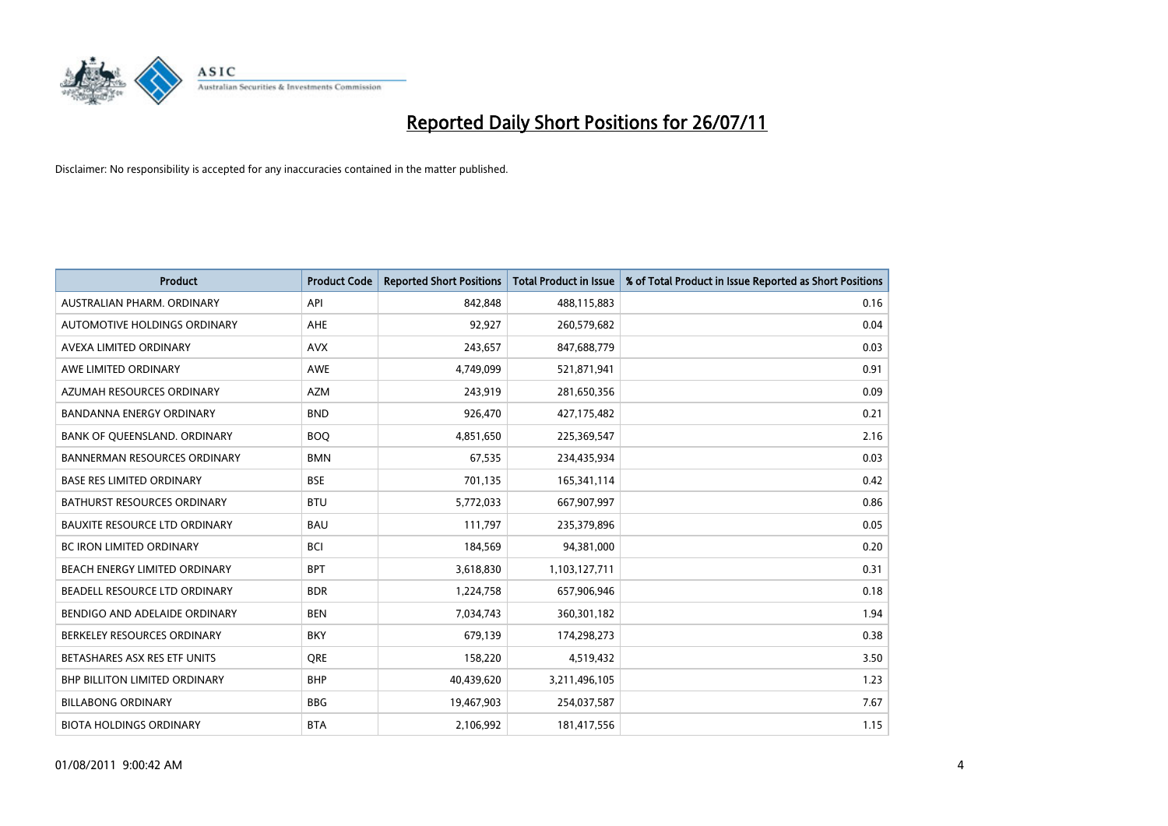

| <b>Product</b>                       | <b>Product Code</b> | <b>Reported Short Positions</b> | <b>Total Product in Issue</b> | % of Total Product in Issue Reported as Short Positions |
|--------------------------------------|---------------------|---------------------------------|-------------------------------|---------------------------------------------------------|
| AUSTRALIAN PHARM, ORDINARY           | API                 | 842,848                         | 488,115,883                   | 0.16                                                    |
| AUTOMOTIVE HOLDINGS ORDINARY         | AHE                 | 92,927                          | 260,579,682                   | 0.04                                                    |
| AVEXA LIMITED ORDINARY               | <b>AVX</b>          | 243,657                         | 847,688,779                   | 0.03                                                    |
| AWE LIMITED ORDINARY                 | AWE                 | 4,749,099                       | 521,871,941                   | 0.91                                                    |
| AZUMAH RESOURCES ORDINARY            | <b>AZM</b>          | 243,919                         | 281,650,356                   | 0.09                                                    |
| <b>BANDANNA ENERGY ORDINARY</b>      | <b>BND</b>          | 926,470                         | 427,175,482                   | 0.21                                                    |
| BANK OF QUEENSLAND. ORDINARY         | <b>BOO</b>          | 4,851,650                       | 225,369,547                   | 2.16                                                    |
| <b>BANNERMAN RESOURCES ORDINARY</b>  | <b>BMN</b>          | 67,535                          | 234,435,934                   | 0.03                                                    |
| <b>BASE RES LIMITED ORDINARY</b>     | <b>BSE</b>          | 701,135                         | 165,341,114                   | 0.42                                                    |
| <b>BATHURST RESOURCES ORDINARY</b>   | <b>BTU</b>          | 5,772,033                       | 667,907,997                   | 0.86                                                    |
| <b>BAUXITE RESOURCE LTD ORDINARY</b> | <b>BAU</b>          | 111,797                         | 235,379,896                   | 0.05                                                    |
| <b>BC IRON LIMITED ORDINARY</b>      | <b>BCI</b>          | 184,569                         | 94,381,000                    | 0.20                                                    |
| BEACH ENERGY LIMITED ORDINARY        | <b>BPT</b>          | 3,618,830                       | 1,103,127,711                 | 0.31                                                    |
| BEADELL RESOURCE LTD ORDINARY        | <b>BDR</b>          | 1,224,758                       | 657,906,946                   | 0.18                                                    |
| BENDIGO AND ADELAIDE ORDINARY        | <b>BEN</b>          | 7,034,743                       | 360,301,182                   | 1.94                                                    |
| BERKELEY RESOURCES ORDINARY          | <b>BKY</b>          | 679,139                         | 174,298,273                   | 0.38                                                    |
| BETASHARES ASX RES ETF UNITS         | <b>ORE</b>          | 158,220                         | 4,519,432                     | 3.50                                                    |
| BHP BILLITON LIMITED ORDINARY        | <b>BHP</b>          | 40,439,620                      | 3,211,496,105                 | 1.23                                                    |
| <b>BILLABONG ORDINARY</b>            | <b>BBG</b>          | 19,467,903                      | 254,037,587                   | 7.67                                                    |
| <b>BIOTA HOLDINGS ORDINARY</b>       | <b>BTA</b>          | 2,106,992                       | 181,417,556                   | 1.15                                                    |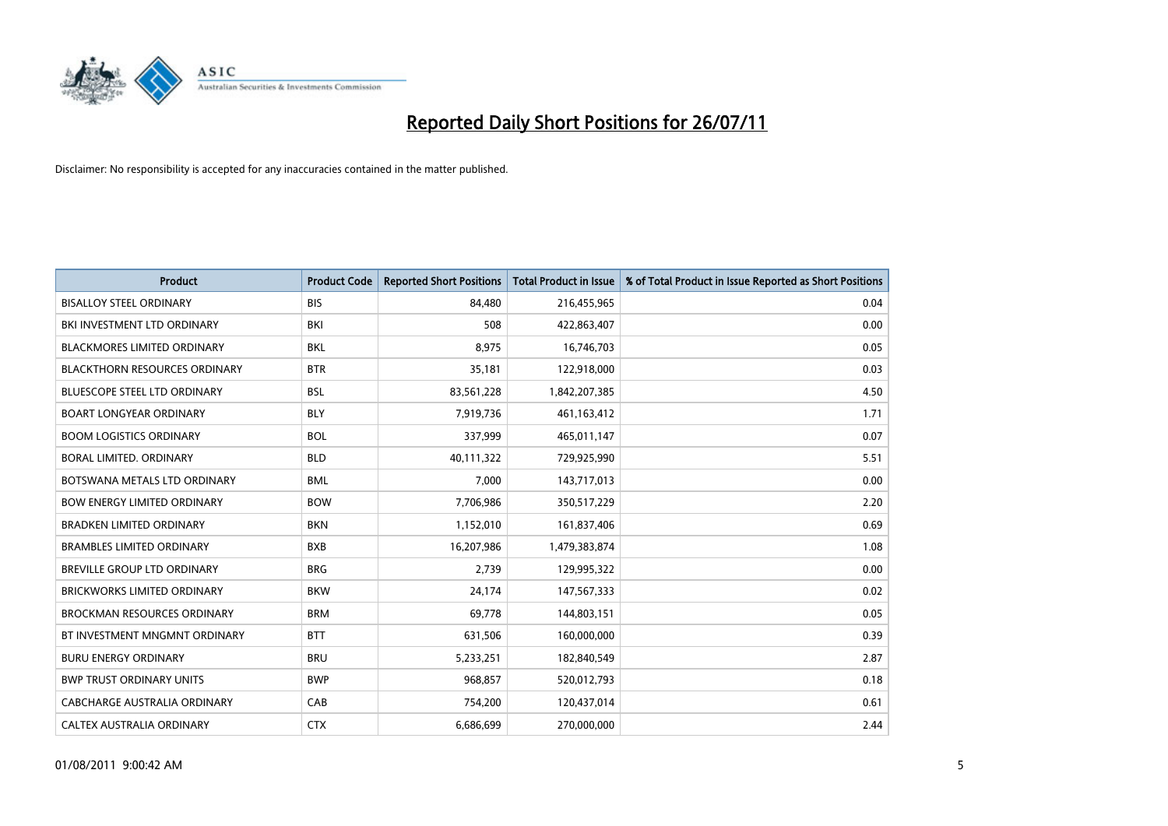

| <b>Product</b>                       | <b>Product Code</b> | <b>Reported Short Positions</b> | <b>Total Product in Issue</b> | % of Total Product in Issue Reported as Short Positions |
|--------------------------------------|---------------------|---------------------------------|-------------------------------|---------------------------------------------------------|
| <b>BISALLOY STEEL ORDINARY</b>       | <b>BIS</b>          | 84,480                          | 216,455,965                   | 0.04                                                    |
| BKI INVESTMENT LTD ORDINARY          | BKI                 | 508                             | 422,863,407                   | 0.00                                                    |
| <b>BLACKMORES LIMITED ORDINARY</b>   | <b>BKL</b>          | 8.975                           | 16,746,703                    | 0.05                                                    |
| <b>BLACKTHORN RESOURCES ORDINARY</b> | <b>BTR</b>          | 35,181                          | 122,918,000                   | 0.03                                                    |
| <b>BLUESCOPE STEEL LTD ORDINARY</b>  | <b>BSL</b>          | 83,561,228                      | 1,842,207,385                 | 4.50                                                    |
| <b>BOART LONGYEAR ORDINARY</b>       | <b>BLY</b>          | 7,919,736                       | 461,163,412                   | 1.71                                                    |
| <b>BOOM LOGISTICS ORDINARY</b>       | <b>BOL</b>          | 337,999                         | 465,011,147                   | 0.07                                                    |
| <b>BORAL LIMITED, ORDINARY</b>       | <b>BLD</b>          | 40,111,322                      | 729,925,990                   | 5.51                                                    |
| BOTSWANA METALS LTD ORDINARY         | <b>BML</b>          | 7,000                           | 143,717,013                   | 0.00                                                    |
| <b>BOW ENERGY LIMITED ORDINARY</b>   | <b>BOW</b>          | 7,706,986                       | 350,517,229                   | 2.20                                                    |
| <b>BRADKEN LIMITED ORDINARY</b>      | <b>BKN</b>          | 1,152,010                       | 161,837,406                   | 0.69                                                    |
| BRAMBLES LIMITED ORDINARY            | <b>BXB</b>          | 16,207,986                      | 1,479,383,874                 | 1.08                                                    |
| <b>BREVILLE GROUP LTD ORDINARY</b>   | <b>BRG</b>          | 2,739                           | 129,995,322                   | 0.00                                                    |
| <b>BRICKWORKS LIMITED ORDINARY</b>   | <b>BKW</b>          | 24,174                          | 147,567,333                   | 0.02                                                    |
| <b>BROCKMAN RESOURCES ORDINARY</b>   | <b>BRM</b>          | 69,778                          | 144,803,151                   | 0.05                                                    |
| BT INVESTMENT MNGMNT ORDINARY        | <b>BTT</b>          | 631,506                         | 160,000,000                   | 0.39                                                    |
| <b>BURU ENERGY ORDINARY</b>          | <b>BRU</b>          | 5,233,251                       | 182,840,549                   | 2.87                                                    |
| <b>BWP TRUST ORDINARY UNITS</b>      | <b>BWP</b>          | 968,857                         | 520,012,793                   | 0.18                                                    |
| CABCHARGE AUSTRALIA ORDINARY         | CAB                 | 754,200                         | 120,437,014                   | 0.61                                                    |
| CALTEX AUSTRALIA ORDINARY            | <b>CTX</b>          | 6,686,699                       | 270,000,000                   | 2.44                                                    |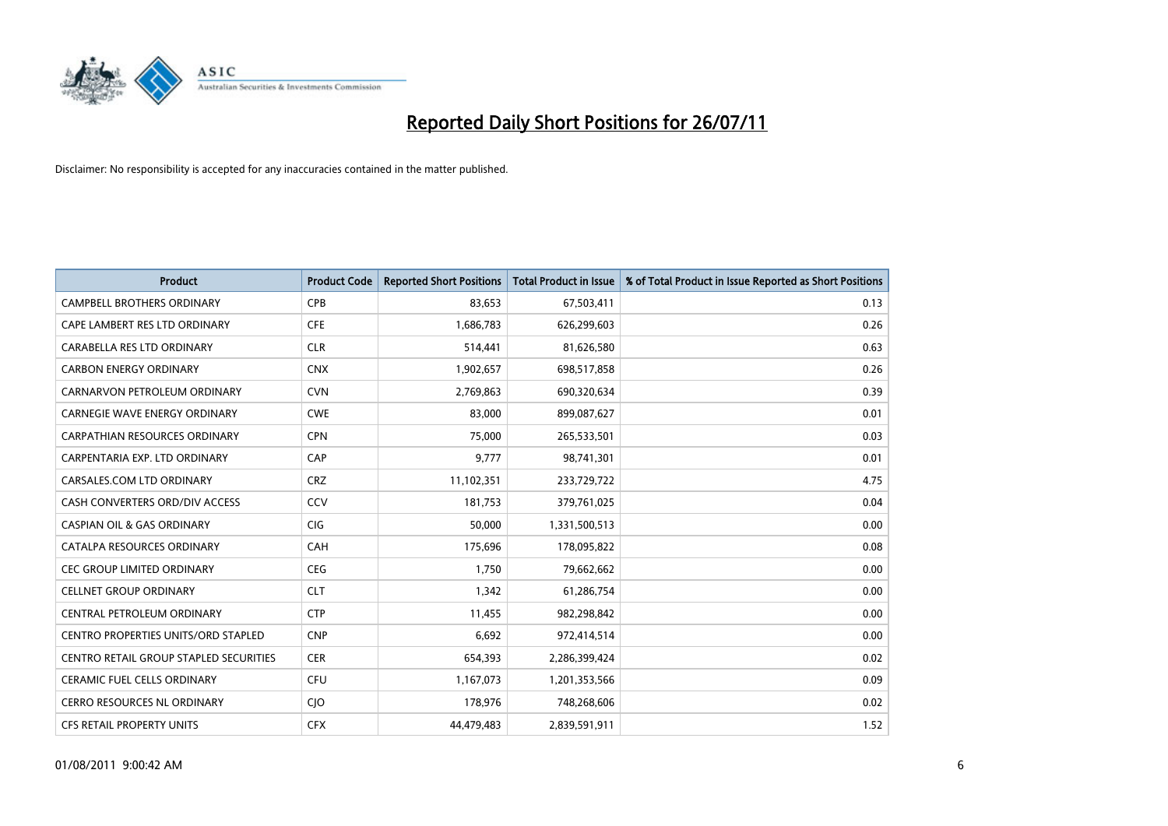

| <b>Product</b>                                | <b>Product Code</b> | <b>Reported Short Positions</b> | <b>Total Product in Issue</b> | % of Total Product in Issue Reported as Short Positions |
|-----------------------------------------------|---------------------|---------------------------------|-------------------------------|---------------------------------------------------------|
| <b>CAMPBELL BROTHERS ORDINARY</b>             | <b>CPB</b>          | 83,653                          | 67,503,411                    | 0.13                                                    |
| CAPE LAMBERT RES LTD ORDINARY                 | <b>CFE</b>          | 1,686,783                       | 626,299,603                   | 0.26                                                    |
| CARABELLA RES LTD ORDINARY                    | <b>CLR</b>          | 514,441                         | 81,626,580                    | 0.63                                                    |
| <b>CARBON ENERGY ORDINARY</b>                 | <b>CNX</b>          | 1,902,657                       | 698,517,858                   | 0.26                                                    |
| CARNARVON PETROLEUM ORDINARY                  | <b>CVN</b>          | 2,769,863                       | 690,320,634                   | 0.39                                                    |
| <b>CARNEGIE WAVE ENERGY ORDINARY</b>          | <b>CWE</b>          | 83,000                          | 899,087,627                   | 0.01                                                    |
| <b>CARPATHIAN RESOURCES ORDINARY</b>          | <b>CPN</b>          | 75.000                          | 265,533,501                   | 0.03                                                    |
| CARPENTARIA EXP. LTD ORDINARY                 | CAP                 | 9,777                           | 98,741,301                    | 0.01                                                    |
| CARSALES.COM LTD ORDINARY                     | <b>CRZ</b>          | 11,102,351                      | 233,729,722                   | 4.75                                                    |
| CASH CONVERTERS ORD/DIV ACCESS                | CCV                 | 181,753                         | 379,761,025                   | 0.04                                                    |
| <b>CASPIAN OIL &amp; GAS ORDINARY</b>         | <b>CIG</b>          | 50,000                          | 1,331,500,513                 | 0.00                                                    |
| CATALPA RESOURCES ORDINARY                    | CAH                 | 175,696                         | 178,095,822                   | 0.08                                                    |
| <b>CEC GROUP LIMITED ORDINARY</b>             | <b>CEG</b>          | 1,750                           | 79,662,662                    | 0.00                                                    |
| <b>CELLNET GROUP ORDINARY</b>                 | <b>CLT</b>          | 1,342                           | 61,286,754                    | 0.00                                                    |
| CENTRAL PETROLEUM ORDINARY                    | <b>CTP</b>          | 11,455                          | 982,298,842                   | 0.00                                                    |
| CENTRO PROPERTIES UNITS/ORD STAPLED           | <b>CNP</b>          | 6,692                           | 972,414,514                   | 0.00                                                    |
| <b>CENTRO RETAIL GROUP STAPLED SECURITIES</b> | <b>CER</b>          | 654,393                         | 2,286,399,424                 | 0.02                                                    |
| CERAMIC FUEL CELLS ORDINARY                   | <b>CFU</b>          | 1,167,073                       | 1,201,353,566                 | 0.09                                                    |
| <b>CERRO RESOURCES NL ORDINARY</b>            | <b>CIO</b>          | 178,976                         | 748,268,606                   | 0.02                                                    |
| <b>CFS RETAIL PROPERTY UNITS</b>              | <b>CFX</b>          | 44.479.483                      | 2,839,591,911                 | 1.52                                                    |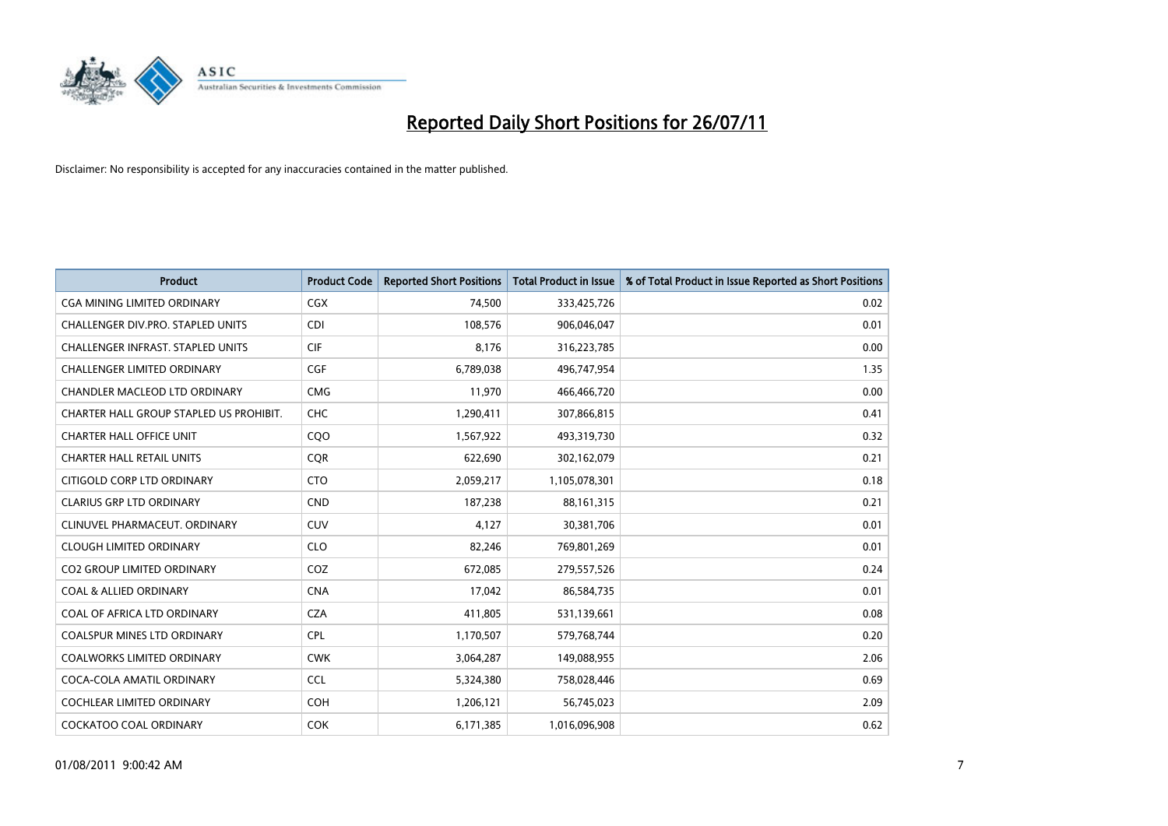

| <b>Product</b>                           | <b>Product Code</b> | <b>Reported Short Positions</b> | <b>Total Product in Issue</b> | % of Total Product in Issue Reported as Short Positions |
|------------------------------------------|---------------------|---------------------------------|-------------------------------|---------------------------------------------------------|
| <b>CGA MINING LIMITED ORDINARY</b>       | <b>CGX</b>          | 74,500                          | 333,425,726                   | 0.02                                                    |
| CHALLENGER DIV.PRO. STAPLED UNITS        | <b>CDI</b>          | 108,576                         | 906,046,047                   | 0.01                                                    |
| <b>CHALLENGER INFRAST, STAPLED UNITS</b> | <b>CIF</b>          | 8,176                           | 316,223,785                   | 0.00                                                    |
| CHALLENGER LIMITED ORDINARY              | <b>CGF</b>          | 6,789,038                       | 496,747,954                   | 1.35                                                    |
| <b>CHANDLER MACLEOD LTD ORDINARY</b>     | <b>CMG</b>          | 11,970                          | 466,466,720                   | 0.00                                                    |
| CHARTER HALL GROUP STAPLED US PROHIBIT.  | CHC                 | 1,290,411                       | 307,866,815                   | 0.41                                                    |
| <b>CHARTER HALL OFFICE UNIT</b>          | CQ <sub>O</sub>     | 1,567,922                       | 493,319,730                   | 0.32                                                    |
| <b>CHARTER HALL RETAIL UNITS</b>         | <b>CQR</b>          | 622,690                         | 302,162,079                   | 0.21                                                    |
| CITIGOLD CORP LTD ORDINARY               | <b>CTO</b>          | 2,059,217                       | 1,105,078,301                 | 0.18                                                    |
| <b>CLARIUS GRP LTD ORDINARY</b>          | <b>CND</b>          | 187,238                         | 88,161,315                    | 0.21                                                    |
| CLINUVEL PHARMACEUT, ORDINARY            | <b>CUV</b>          | 4,127                           | 30,381,706                    | 0.01                                                    |
| <b>CLOUGH LIMITED ORDINARY</b>           | <b>CLO</b>          | 82,246                          | 769,801,269                   | 0.01                                                    |
| <b>CO2 GROUP LIMITED ORDINARY</b>        | COZ                 | 672,085                         | 279,557,526                   | 0.24                                                    |
| <b>COAL &amp; ALLIED ORDINARY</b>        | <b>CNA</b>          | 17.042                          | 86,584,735                    | 0.01                                                    |
| COAL OF AFRICA LTD ORDINARY              | <b>CZA</b>          | 411,805                         | 531,139,661                   | 0.08                                                    |
| <b>COALSPUR MINES LTD ORDINARY</b>       | <b>CPL</b>          | 1,170,507                       | 579,768,744                   | 0.20                                                    |
| <b>COALWORKS LIMITED ORDINARY</b>        | <b>CWK</b>          | 3,064,287                       | 149,088,955                   | 2.06                                                    |
| COCA-COLA AMATIL ORDINARY                | <b>CCL</b>          | 5,324,380                       | 758,028,446                   | 0.69                                                    |
| <b>COCHLEAR LIMITED ORDINARY</b>         | <b>COH</b>          | 1,206,121                       | 56,745,023                    | 2.09                                                    |
| <b>COCKATOO COAL ORDINARY</b>            | <b>COK</b>          | 6,171,385                       | 1,016,096,908                 | 0.62                                                    |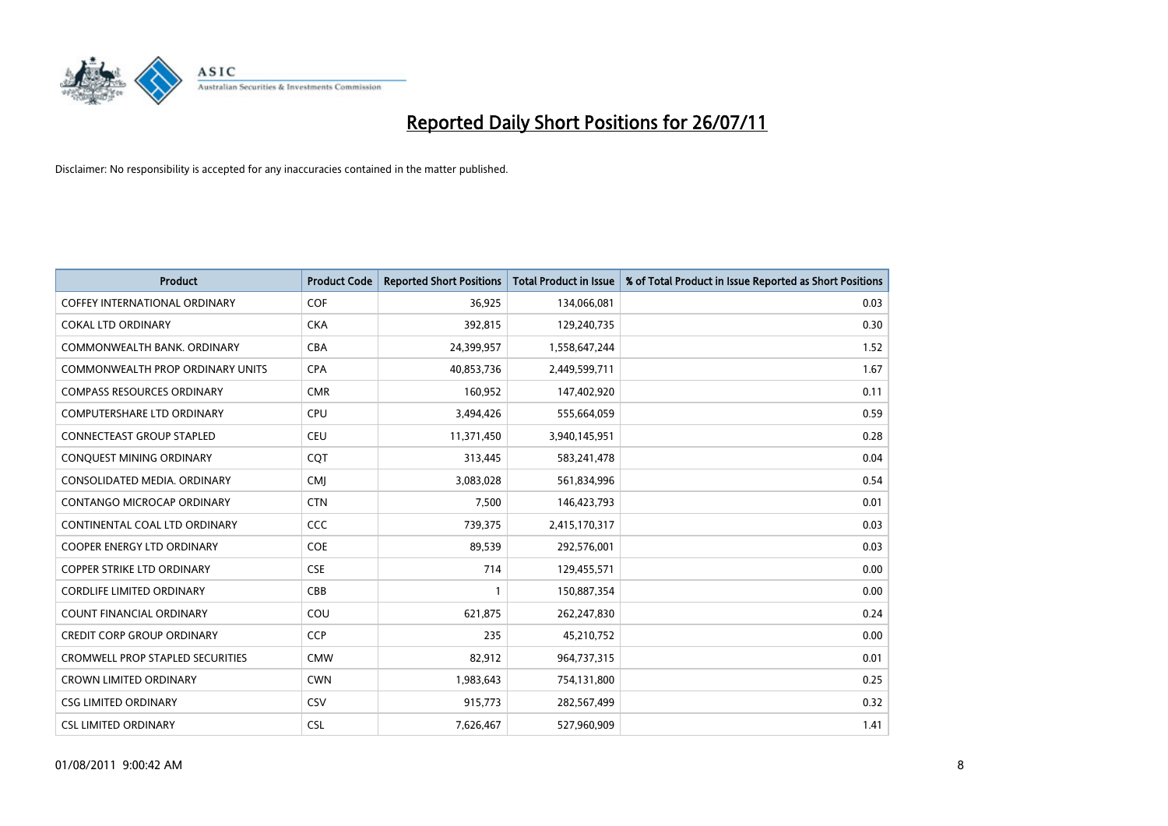

| <b>Product</b>                          | <b>Product Code</b> | <b>Reported Short Positions</b> | <b>Total Product in Issue</b> | % of Total Product in Issue Reported as Short Positions |
|-----------------------------------------|---------------------|---------------------------------|-------------------------------|---------------------------------------------------------|
| <b>COFFEY INTERNATIONAL ORDINARY</b>    | COF                 | 36,925                          | 134,066,081                   | 0.03                                                    |
| <b>COKAL LTD ORDINARY</b>               | <b>CKA</b>          | 392,815                         | 129,240,735                   | 0.30                                                    |
| COMMONWEALTH BANK, ORDINARY             | <b>CBA</b>          | 24,399,957                      | 1,558,647,244                 | 1.52                                                    |
| COMMONWEALTH PROP ORDINARY UNITS        | <b>CPA</b>          | 40,853,736                      | 2,449,599,711                 | 1.67                                                    |
| <b>COMPASS RESOURCES ORDINARY</b>       | <b>CMR</b>          | 160,952                         | 147,402,920                   | 0.11                                                    |
| <b>COMPUTERSHARE LTD ORDINARY</b>       | <b>CPU</b>          | 3,494,426                       | 555,664,059                   | 0.59                                                    |
| <b>CONNECTEAST GROUP STAPLED</b>        | <b>CEU</b>          | 11,371,450                      | 3,940,145,951                 | 0.28                                                    |
| CONQUEST MINING ORDINARY                | <b>COT</b>          | 313,445                         | 583,241,478                   | 0.04                                                    |
| CONSOLIDATED MEDIA, ORDINARY            | <b>CMI</b>          | 3,083,028                       | 561,834,996                   | 0.54                                                    |
| CONTANGO MICROCAP ORDINARY              | <b>CTN</b>          | 7,500                           | 146,423,793                   | 0.01                                                    |
| CONTINENTAL COAL LTD ORDINARY           | CCC                 | 739,375                         | 2,415,170,317                 | 0.03                                                    |
| <b>COOPER ENERGY LTD ORDINARY</b>       | <b>COE</b>          | 89,539                          | 292,576,001                   | 0.03                                                    |
| <b>COPPER STRIKE LTD ORDINARY</b>       | <b>CSE</b>          | 714                             | 129,455,571                   | 0.00                                                    |
| <b>CORDLIFE LIMITED ORDINARY</b>        | CBB                 |                                 | 150,887,354                   | 0.00                                                    |
| <b>COUNT FINANCIAL ORDINARY</b>         | COU                 | 621,875                         | 262,247,830                   | 0.24                                                    |
| <b>CREDIT CORP GROUP ORDINARY</b>       | <b>CCP</b>          | 235                             | 45,210,752                    | 0.00                                                    |
| <b>CROMWELL PROP STAPLED SECURITIES</b> | <b>CMW</b>          | 82,912                          | 964,737,315                   | 0.01                                                    |
| <b>CROWN LIMITED ORDINARY</b>           | <b>CWN</b>          | 1,983,643                       | 754,131,800                   | 0.25                                                    |
| <b>CSG LIMITED ORDINARY</b>             | CSV                 | 915,773                         | 282,567,499                   | 0.32                                                    |
| <b>CSL LIMITED ORDINARY</b>             | <b>CSL</b>          | 7,626,467                       | 527,960,909                   | 1.41                                                    |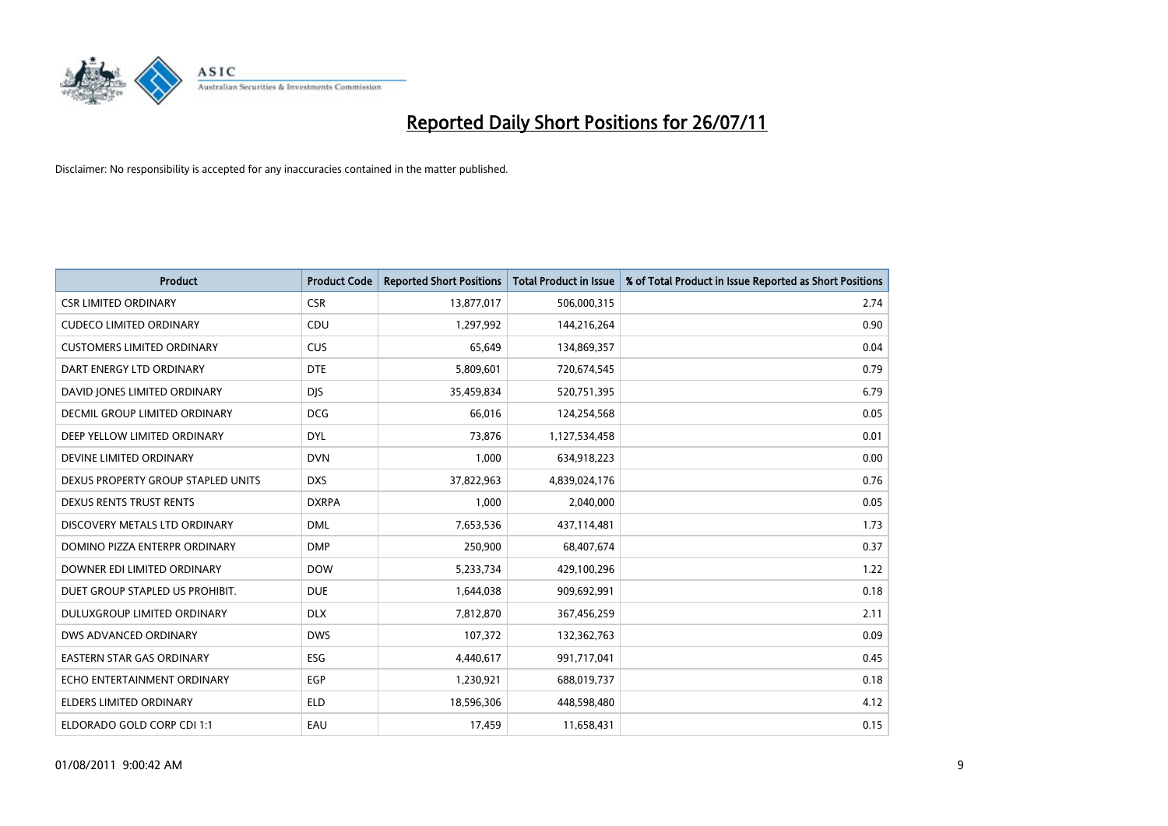

| <b>Product</b>                     | <b>Product Code</b> | <b>Reported Short Positions</b> | <b>Total Product in Issue</b> | % of Total Product in Issue Reported as Short Positions |
|------------------------------------|---------------------|---------------------------------|-------------------------------|---------------------------------------------------------|
| <b>CSR LIMITED ORDINARY</b>        | <b>CSR</b>          | 13,877,017                      | 506,000,315                   | 2.74                                                    |
| <b>CUDECO LIMITED ORDINARY</b>     | CDU                 | 1,297,992                       | 144,216,264                   | 0.90                                                    |
| <b>CUSTOMERS LIMITED ORDINARY</b>  | <b>CUS</b>          | 65,649                          | 134,869,357                   | 0.04                                                    |
| DART ENERGY LTD ORDINARY           | <b>DTE</b>          | 5,809,601                       | 720,674,545                   | 0.79                                                    |
| DAVID JONES LIMITED ORDINARY       | <b>DJS</b>          | 35,459,834                      | 520,751,395                   | 6.79                                                    |
| DECMIL GROUP LIMITED ORDINARY      | <b>DCG</b>          | 66,016                          | 124,254,568                   | 0.05                                                    |
| DEEP YELLOW LIMITED ORDINARY       | <b>DYL</b>          | 73.876                          | 1,127,534,458                 | 0.01                                                    |
| DEVINE LIMITED ORDINARY            | <b>DVN</b>          | 1,000                           | 634,918,223                   | 0.00                                                    |
| DEXUS PROPERTY GROUP STAPLED UNITS | <b>DXS</b>          | 37,822,963                      | 4,839,024,176                 | 0.76                                                    |
| <b>DEXUS RENTS TRUST RENTS</b>     | <b>DXRPA</b>        | 1,000                           | 2,040,000                     | 0.05                                                    |
| DISCOVERY METALS LTD ORDINARY      | <b>DML</b>          | 7,653,536                       | 437,114,481                   | 1.73                                                    |
| DOMINO PIZZA ENTERPR ORDINARY      | <b>DMP</b>          | 250,900                         | 68,407,674                    | 0.37                                                    |
| DOWNER EDI LIMITED ORDINARY        | <b>DOW</b>          | 5,233,734                       | 429,100,296                   | 1.22                                                    |
| DUET GROUP STAPLED US PROHIBIT.    | <b>DUE</b>          | 1,644,038                       | 909,692,991                   | 0.18                                                    |
| DULUXGROUP LIMITED ORDINARY        | <b>DLX</b>          | 7,812,870                       | 367,456,259                   | 2.11                                                    |
| DWS ADVANCED ORDINARY              | <b>DWS</b>          | 107,372                         | 132,362,763                   | 0.09                                                    |
| <b>EASTERN STAR GAS ORDINARY</b>   | ESG                 | 4,440,617                       | 991,717,041                   | 0.45                                                    |
| ECHO ENTERTAINMENT ORDINARY        | <b>EGP</b>          | 1,230,921                       | 688,019,737                   | 0.18                                                    |
| <b>ELDERS LIMITED ORDINARY</b>     | <b>ELD</b>          | 18,596,306                      | 448,598,480                   | 4.12                                                    |
| ELDORADO GOLD CORP CDI 1:1         | EAU                 | 17,459                          | 11,658,431                    | 0.15                                                    |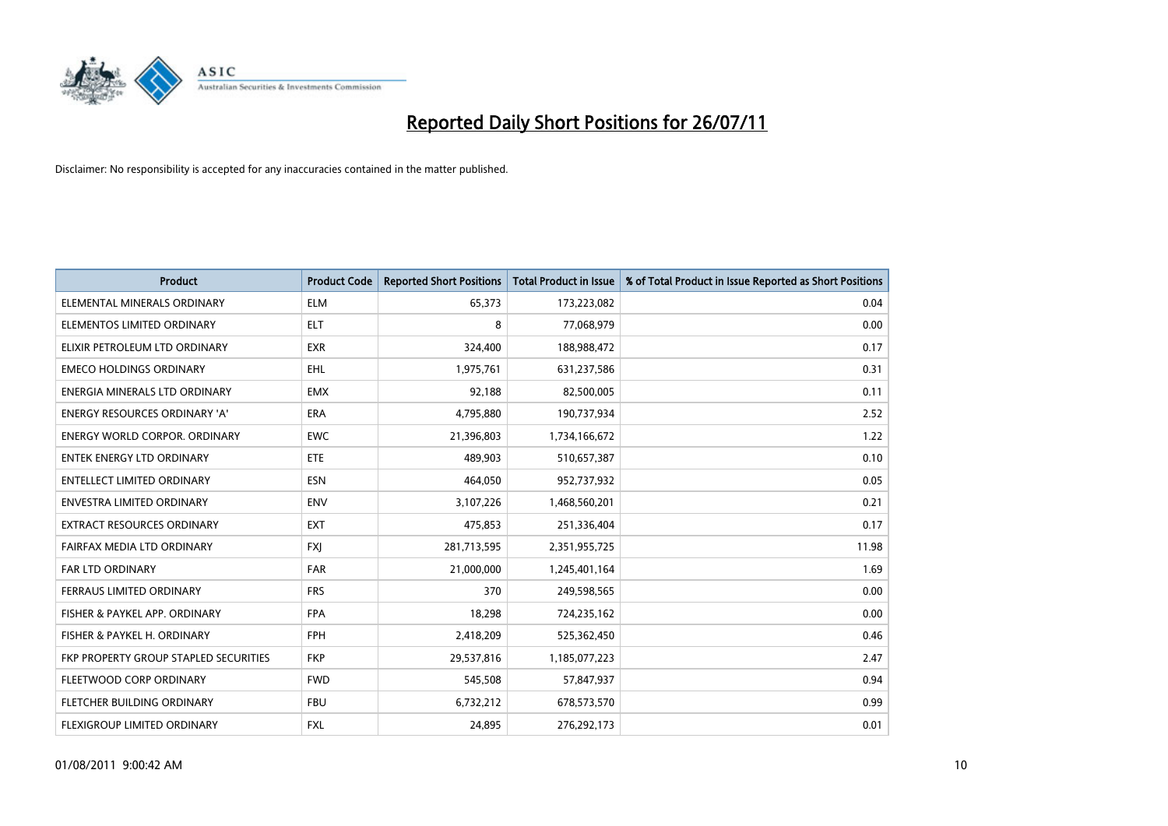

| <b>Product</b>                        | <b>Product Code</b> | <b>Reported Short Positions</b> | Total Product in Issue | % of Total Product in Issue Reported as Short Positions |
|---------------------------------------|---------------------|---------------------------------|------------------------|---------------------------------------------------------|
| ELEMENTAL MINERALS ORDINARY           | <b>ELM</b>          | 65,373                          | 173,223,082            | 0.04                                                    |
| ELEMENTOS LIMITED ORDINARY            | <b>ELT</b>          | 8                               | 77,068,979             | 0.00                                                    |
| ELIXIR PETROLEUM LTD ORDINARY         | <b>EXR</b>          | 324,400                         | 188,988,472            | 0.17                                                    |
| <b>EMECO HOLDINGS ORDINARY</b>        | <b>EHL</b>          | 1,975,761                       | 631,237,586            | 0.31                                                    |
| ENERGIA MINERALS LTD ORDINARY         | <b>EMX</b>          | 92,188                          | 82,500,005             | 0.11                                                    |
| <b>ENERGY RESOURCES ORDINARY 'A'</b>  | <b>ERA</b>          | 4,795,880                       | 190,737,934            | 2.52                                                    |
| ENERGY WORLD CORPOR, ORDINARY         | <b>EWC</b>          | 21,396,803                      | 1,734,166,672          | 1.22                                                    |
| ENTEK ENERGY LTD ORDINARY             | <b>ETE</b>          | 489,903                         | 510,657,387            | 0.10                                                    |
| <b>ENTELLECT LIMITED ORDINARY</b>     | <b>ESN</b>          | 464,050                         | 952,737,932            | 0.05                                                    |
| <b>ENVESTRA LIMITED ORDINARY</b>      | <b>ENV</b>          | 3,107,226                       | 1,468,560,201          | 0.21                                                    |
| EXTRACT RESOURCES ORDINARY            | <b>EXT</b>          | 475,853                         | 251,336,404            | 0.17                                                    |
| FAIRFAX MEDIA LTD ORDINARY            | <b>FXJ</b>          | 281,713,595                     | 2,351,955,725          | 11.98                                                   |
| FAR LTD ORDINARY                      | <b>FAR</b>          | 21,000,000                      | 1,245,401,164          | 1.69                                                    |
| <b>FERRAUS LIMITED ORDINARY</b>       | <b>FRS</b>          | 370                             | 249,598,565            | 0.00                                                    |
| FISHER & PAYKEL APP. ORDINARY         | <b>FPA</b>          | 18,298                          | 724,235,162            | 0.00                                                    |
| FISHER & PAYKEL H. ORDINARY           | <b>FPH</b>          | 2,418,209                       | 525,362,450            | 0.46                                                    |
| FKP PROPERTY GROUP STAPLED SECURITIES | <b>FKP</b>          | 29,537,816                      | 1,185,077,223          | 2.47                                                    |
| FLEETWOOD CORP ORDINARY               | <b>FWD</b>          | 545,508                         | 57,847,937             | 0.94                                                    |
| FLETCHER BUILDING ORDINARY            | <b>FBU</b>          | 6,732,212                       | 678,573,570            | 0.99                                                    |
| FLEXIGROUP LIMITED ORDINARY           | <b>FXL</b>          | 24,895                          | 276,292,173            | 0.01                                                    |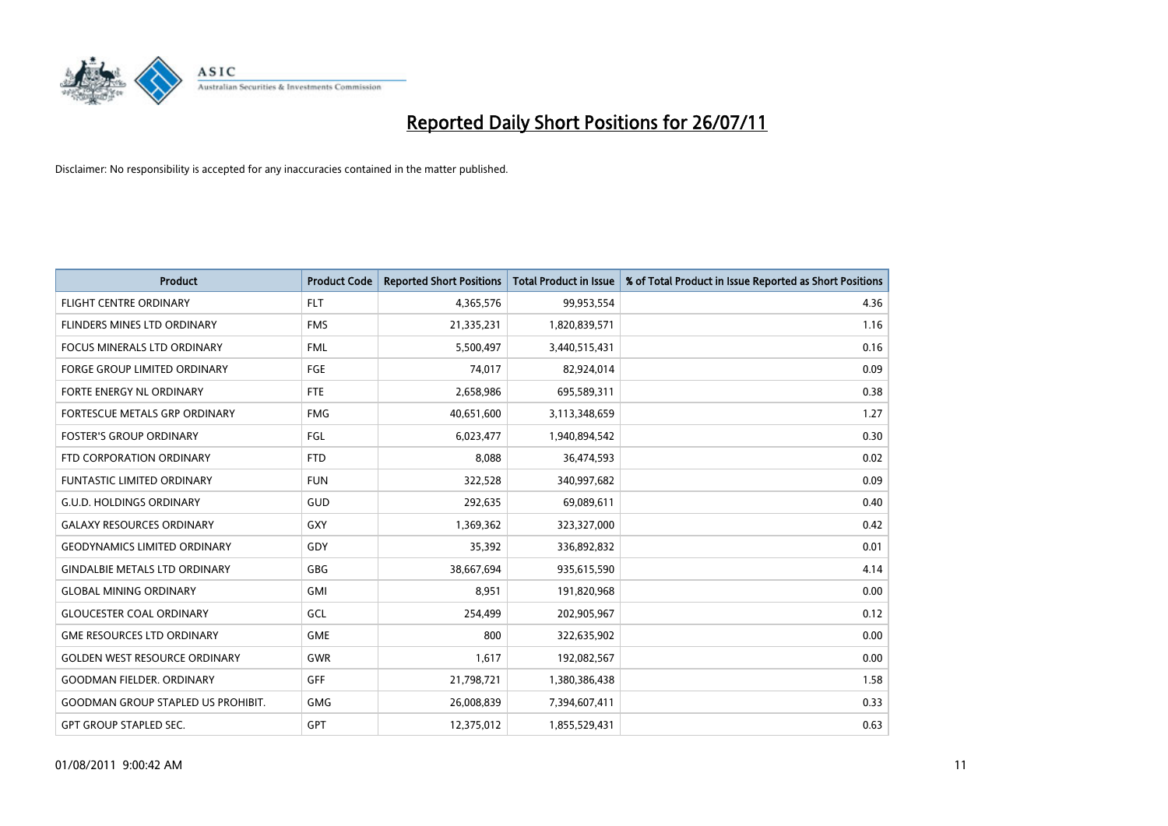

| <b>Product</b>                            | <b>Product Code</b> | <b>Reported Short Positions</b> | <b>Total Product in Issue</b> | % of Total Product in Issue Reported as Short Positions |
|-------------------------------------------|---------------------|---------------------------------|-------------------------------|---------------------------------------------------------|
| <b>FLIGHT CENTRE ORDINARY</b>             | <b>FLT</b>          | 4,365,576                       | 99,953,554                    | 4.36                                                    |
| <b>FLINDERS MINES LTD ORDINARY</b>        | <b>FMS</b>          | 21,335,231                      | 1,820,839,571                 | 1.16                                                    |
| <b>FOCUS MINERALS LTD ORDINARY</b>        | <b>FML</b>          | 5,500,497                       | 3,440,515,431                 | 0.16                                                    |
| FORGE GROUP LIMITED ORDINARY              | FGE                 | 74,017                          | 82,924,014                    | 0.09                                                    |
| FORTE ENERGY NL ORDINARY                  | <b>FTE</b>          | 2,658,986                       | 695,589,311                   | 0.38                                                    |
| FORTESCUE METALS GRP ORDINARY             | <b>FMG</b>          | 40,651,600                      | 3,113,348,659                 | 1.27                                                    |
| <b>FOSTER'S GROUP ORDINARY</b>            | <b>FGL</b>          | 6,023,477                       | 1,940,894,542                 | 0.30                                                    |
| FTD CORPORATION ORDINARY                  | <b>FTD</b>          | 8,088                           | 36,474,593                    | 0.02                                                    |
| <b>FUNTASTIC LIMITED ORDINARY</b>         | <b>FUN</b>          | 322,528                         | 340,997,682                   | 0.09                                                    |
| <b>G.U.D. HOLDINGS ORDINARY</b>           | <b>GUD</b>          | 292,635                         | 69,089,611                    | 0.40                                                    |
| <b>GALAXY RESOURCES ORDINARY</b>          | GXY                 | 1,369,362                       | 323,327,000                   | 0.42                                                    |
| <b>GEODYNAMICS LIMITED ORDINARY</b>       | GDY                 | 35,392                          | 336,892,832                   | 0.01                                                    |
| <b>GINDALBIE METALS LTD ORDINARY</b>      | <b>GBG</b>          | 38,667,694                      | 935,615,590                   | 4.14                                                    |
| <b>GLOBAL MINING ORDINARY</b>             | GMI                 | 8,951                           | 191,820,968                   | 0.00                                                    |
| <b>GLOUCESTER COAL ORDINARY</b>           | GCL                 | 254,499                         | 202,905,967                   | 0.12                                                    |
| <b>GME RESOURCES LTD ORDINARY</b>         | <b>GME</b>          | 800                             | 322,635,902                   | 0.00                                                    |
| <b>GOLDEN WEST RESOURCE ORDINARY</b>      | <b>GWR</b>          | 1,617                           | 192,082,567                   | 0.00                                                    |
| <b>GOODMAN FIELDER. ORDINARY</b>          | <b>GFF</b>          | 21,798,721                      | 1,380,386,438                 | 1.58                                                    |
| <b>GOODMAN GROUP STAPLED US PROHIBIT.</b> | <b>GMG</b>          | 26,008,839                      | 7,394,607,411                 | 0.33                                                    |
| <b>GPT GROUP STAPLED SEC.</b>             | GPT                 | 12,375,012                      | 1,855,529,431                 | 0.63                                                    |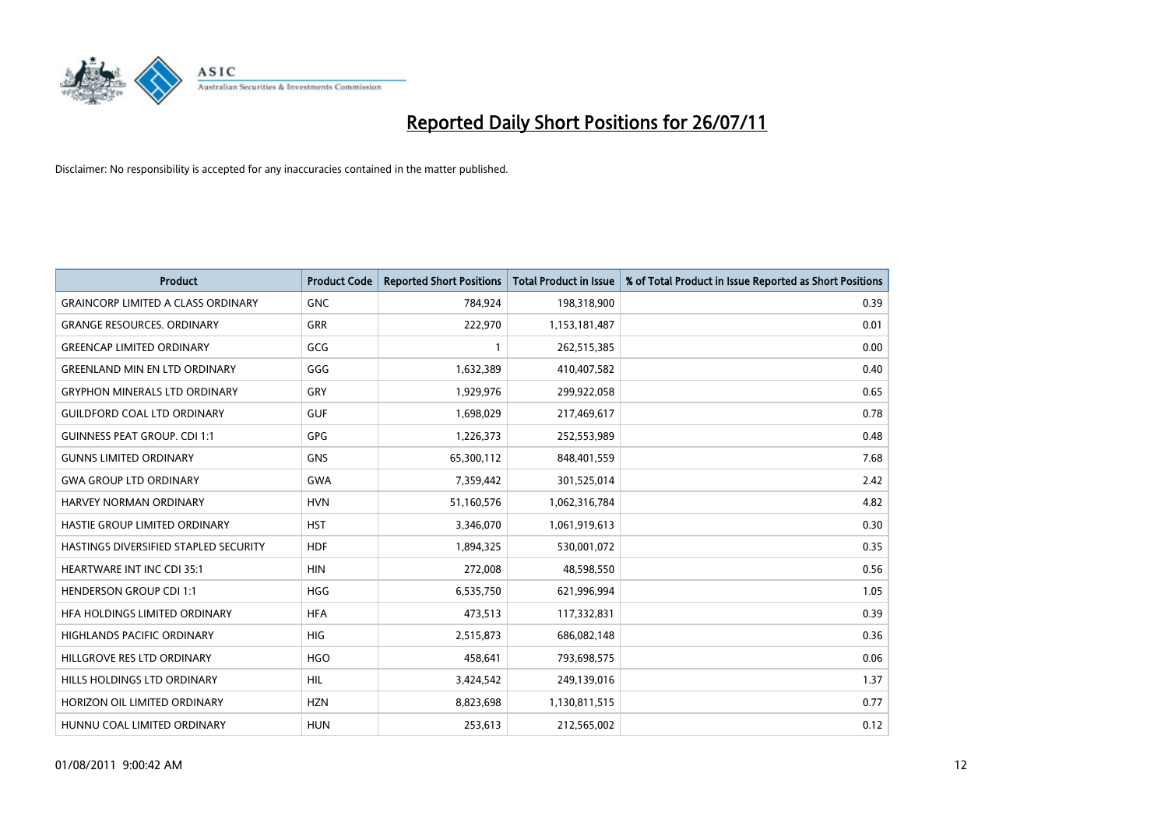

| <b>Product</b>                            | <b>Product Code</b> | <b>Reported Short Positions</b> | <b>Total Product in Issue</b> | % of Total Product in Issue Reported as Short Positions |
|-------------------------------------------|---------------------|---------------------------------|-------------------------------|---------------------------------------------------------|
| <b>GRAINCORP LIMITED A CLASS ORDINARY</b> | <b>GNC</b>          | 784,924                         | 198,318,900                   | 0.39                                                    |
| <b>GRANGE RESOURCES. ORDINARY</b>         | <b>GRR</b>          | 222,970                         | 1,153,181,487                 | 0.01                                                    |
| <b>GREENCAP LIMITED ORDINARY</b>          | GCG                 |                                 | 262,515,385                   | 0.00                                                    |
| <b>GREENLAND MIN EN LTD ORDINARY</b>      | GGG                 | 1,632,389                       | 410,407,582                   | 0.40                                                    |
| <b>GRYPHON MINERALS LTD ORDINARY</b>      | GRY                 | 1,929,976                       | 299,922,058                   | 0.65                                                    |
| <b>GUILDFORD COAL LTD ORDINARY</b>        | <b>GUF</b>          | 1,698,029                       | 217,469,617                   | 0.78                                                    |
| <b>GUINNESS PEAT GROUP. CDI 1:1</b>       | GPG                 | 1,226,373                       | 252,553,989                   | 0.48                                                    |
| <b>GUNNS LIMITED ORDINARY</b>             | <b>GNS</b>          | 65,300,112                      | 848,401,559                   | 7.68                                                    |
| <b>GWA GROUP LTD ORDINARY</b>             | <b>GWA</b>          | 7,359,442                       | 301,525,014                   | 2.42                                                    |
| HARVEY NORMAN ORDINARY                    | <b>HVN</b>          | 51,160,576                      | 1,062,316,784                 | 4.82                                                    |
| HASTIE GROUP LIMITED ORDINARY             | <b>HST</b>          | 3,346,070                       | 1,061,919,613                 | 0.30                                                    |
| HASTINGS DIVERSIFIED STAPLED SECURITY     | <b>HDF</b>          | 1,894,325                       | 530,001,072                   | 0.35                                                    |
| <b>HEARTWARE INT INC CDI 35:1</b>         | <b>HIN</b>          | 272,008                         | 48,598,550                    | 0.56                                                    |
| <b>HENDERSON GROUP CDI 1:1</b>            | <b>HGG</b>          | 6,535,750                       | 621,996,994                   | 1.05                                                    |
| HFA HOLDINGS LIMITED ORDINARY             | <b>HFA</b>          | 473,513                         | 117,332,831                   | 0.39                                                    |
| <b>HIGHLANDS PACIFIC ORDINARY</b>         | <b>HIG</b>          | 2,515,873                       | 686,082,148                   | 0.36                                                    |
| HILLGROVE RES LTD ORDINARY                | <b>HGO</b>          | 458,641                         | 793,698,575                   | 0.06                                                    |
| HILLS HOLDINGS LTD ORDINARY               | <b>HIL</b>          | 3,424,542                       | 249,139,016                   | 1.37                                                    |
| HORIZON OIL LIMITED ORDINARY              | <b>HZN</b>          | 8,823,698                       | 1,130,811,515                 | 0.77                                                    |
| HUNNU COAL LIMITED ORDINARY               | <b>HUN</b>          | 253,613                         | 212,565,002                   | 0.12                                                    |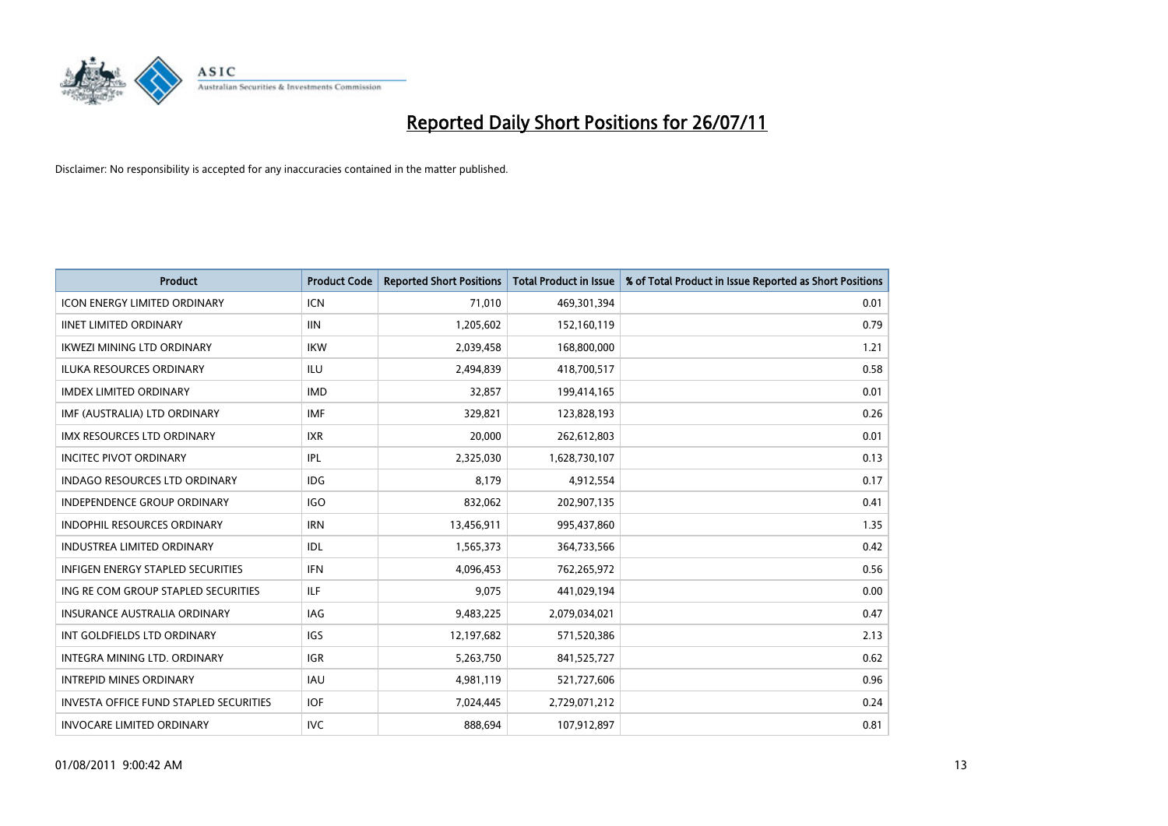

| <b>Product</b>                                | <b>Product Code</b> | <b>Reported Short Positions</b> | Total Product in Issue | % of Total Product in Issue Reported as Short Positions |
|-----------------------------------------------|---------------------|---------------------------------|------------------------|---------------------------------------------------------|
| <b>ICON ENERGY LIMITED ORDINARY</b>           | <b>ICN</b>          | 71,010                          | 469,301,394            | 0.01                                                    |
| <b>IINET LIMITED ORDINARY</b>                 | <b>IIN</b>          | 1,205,602                       | 152,160,119            | 0.79                                                    |
| <b>IKWEZI MINING LTD ORDINARY</b>             | <b>IKW</b>          | 2,039,458                       | 168,800,000            | 1.21                                                    |
| ILUKA RESOURCES ORDINARY                      | <b>ILU</b>          | 2,494,839                       | 418,700,517            | 0.58                                                    |
| <b>IMDEX LIMITED ORDINARY</b>                 | <b>IMD</b>          | 32,857                          | 199,414,165            | 0.01                                                    |
| IMF (AUSTRALIA) LTD ORDINARY                  | <b>IMF</b>          | 329,821                         | 123,828,193            | 0.26                                                    |
| <b>IMX RESOURCES LTD ORDINARY</b>             | <b>IXR</b>          | 20,000                          | 262,612,803            | 0.01                                                    |
| <b>INCITEC PIVOT ORDINARY</b>                 | IPL                 | 2,325,030                       | 1,628,730,107          | 0.13                                                    |
| <b>INDAGO RESOURCES LTD ORDINARY</b>          | <b>IDG</b>          | 8.179                           | 4,912,554              | 0.17                                                    |
| <b>INDEPENDENCE GROUP ORDINARY</b>            | <b>IGO</b>          | 832,062                         | 202,907,135            | 0.41                                                    |
| INDOPHIL RESOURCES ORDINARY                   | <b>IRN</b>          | 13,456,911                      | 995,437,860            | 1.35                                                    |
| <b>INDUSTREA LIMITED ORDINARY</b>             | IDL                 | 1,565,373                       | 364,733,566            | 0.42                                                    |
| <b>INFIGEN ENERGY STAPLED SECURITIES</b>      | <b>IFN</b>          | 4,096,453                       | 762,265,972            | 0.56                                                    |
| ING RE COM GROUP STAPLED SECURITIES           | <b>ILF</b>          | 9,075                           | 441,029,194            | 0.00                                                    |
| <b>INSURANCE AUSTRALIA ORDINARY</b>           | <b>IAG</b>          | 9,483,225                       | 2,079,034,021          | 0.47                                                    |
| INT GOLDFIELDS LTD ORDINARY                   | <b>IGS</b>          | 12,197,682                      | 571,520,386            | 2.13                                                    |
| INTEGRA MINING LTD. ORDINARY                  | <b>IGR</b>          | 5,263,750                       | 841,525,727            | 0.62                                                    |
| <b>INTREPID MINES ORDINARY</b>                | <b>IAU</b>          | 4,981,119                       | 521,727,606            | 0.96                                                    |
| <b>INVESTA OFFICE FUND STAPLED SECURITIES</b> | <b>IOF</b>          | 7,024,445                       | 2,729,071,212          | 0.24                                                    |
| <b>INVOCARE LIMITED ORDINARY</b>              | <b>IVC</b>          | 888,694                         | 107,912,897            | 0.81                                                    |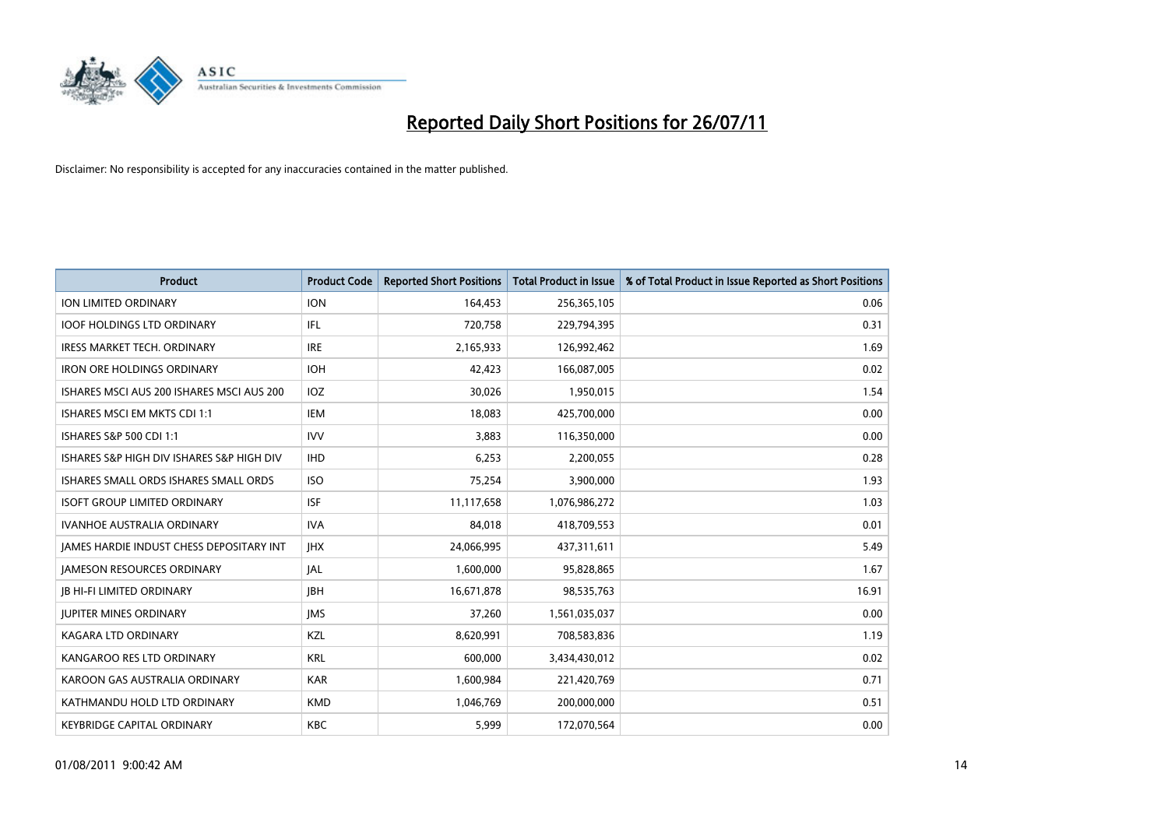

| <b>Product</b>                            | <b>Product Code</b> | <b>Reported Short Positions</b> | <b>Total Product in Issue</b> | % of Total Product in Issue Reported as Short Positions |
|-------------------------------------------|---------------------|---------------------------------|-------------------------------|---------------------------------------------------------|
| <b>ION LIMITED ORDINARY</b>               | <b>ION</b>          | 164,453                         | 256,365,105                   | 0.06                                                    |
| <b>IOOF HOLDINGS LTD ORDINARY</b>         | IFL                 | 720,758                         | 229,794,395                   | 0.31                                                    |
| <b>IRESS MARKET TECH. ORDINARY</b>        | <b>IRE</b>          | 2,165,933                       | 126,992,462                   | 1.69                                                    |
| <b>IRON ORE HOLDINGS ORDINARY</b>         | <b>IOH</b>          | 42,423                          | 166,087,005                   | 0.02                                                    |
| ISHARES MSCI AUS 200 ISHARES MSCI AUS 200 | IOZ                 | 30,026                          | 1,950,015                     | 1.54                                                    |
| ISHARES MSCI EM MKTS CDI 1:1              | <b>IEM</b>          | 18,083                          | 425,700,000                   | 0.00                                                    |
| <b>ISHARES S&amp;P 500 CDI 1:1</b>        | <b>IVV</b>          | 3,883                           | 116,350,000                   | 0.00                                                    |
| ISHARES S&P HIGH DIV ISHARES S&P HIGH DIV | <b>IHD</b>          | 6,253                           | 2,200,055                     | 0.28                                                    |
| ISHARES SMALL ORDS ISHARES SMALL ORDS     | <b>ISO</b>          | 75,254                          | 3,900,000                     | 1.93                                                    |
| <b>ISOFT GROUP LIMITED ORDINARY</b>       | <b>ISF</b>          | 11,117,658                      | 1,076,986,272                 | 1.03                                                    |
| <b>IVANHOE AUSTRALIA ORDINARY</b>         | <b>IVA</b>          | 84,018                          | 418,709,553                   | 0.01                                                    |
| JAMES HARDIE INDUST CHESS DEPOSITARY INT  | <b>IHX</b>          | 24,066,995                      | 437,311,611                   | 5.49                                                    |
| <b>JAMESON RESOURCES ORDINARY</b>         | <b>JAL</b>          | 1,600,000                       | 95,828,865                    | 1.67                                                    |
| <b>JB HI-FI LIMITED ORDINARY</b>          | <b>IBH</b>          | 16,671,878                      | 98,535,763                    | 16.91                                                   |
| <b>JUPITER MINES ORDINARY</b>             | <b>IMS</b>          | 37,260                          | 1,561,035,037                 | 0.00                                                    |
| KAGARA LTD ORDINARY                       | KZL                 | 8,620,991                       | 708,583,836                   | 1.19                                                    |
| KANGAROO RES LTD ORDINARY                 | <b>KRL</b>          | 600,000                         | 3,434,430,012                 | 0.02                                                    |
| KAROON GAS AUSTRALIA ORDINARY             | <b>KAR</b>          | 1,600,984                       | 221,420,769                   | 0.71                                                    |
| KATHMANDU HOLD LTD ORDINARY               | <b>KMD</b>          | 1,046,769                       | 200,000,000                   | 0.51                                                    |
| KEYBRIDGE CAPITAL ORDINARY                | <b>KBC</b>          | 5,999                           | 172,070,564                   | 0.00                                                    |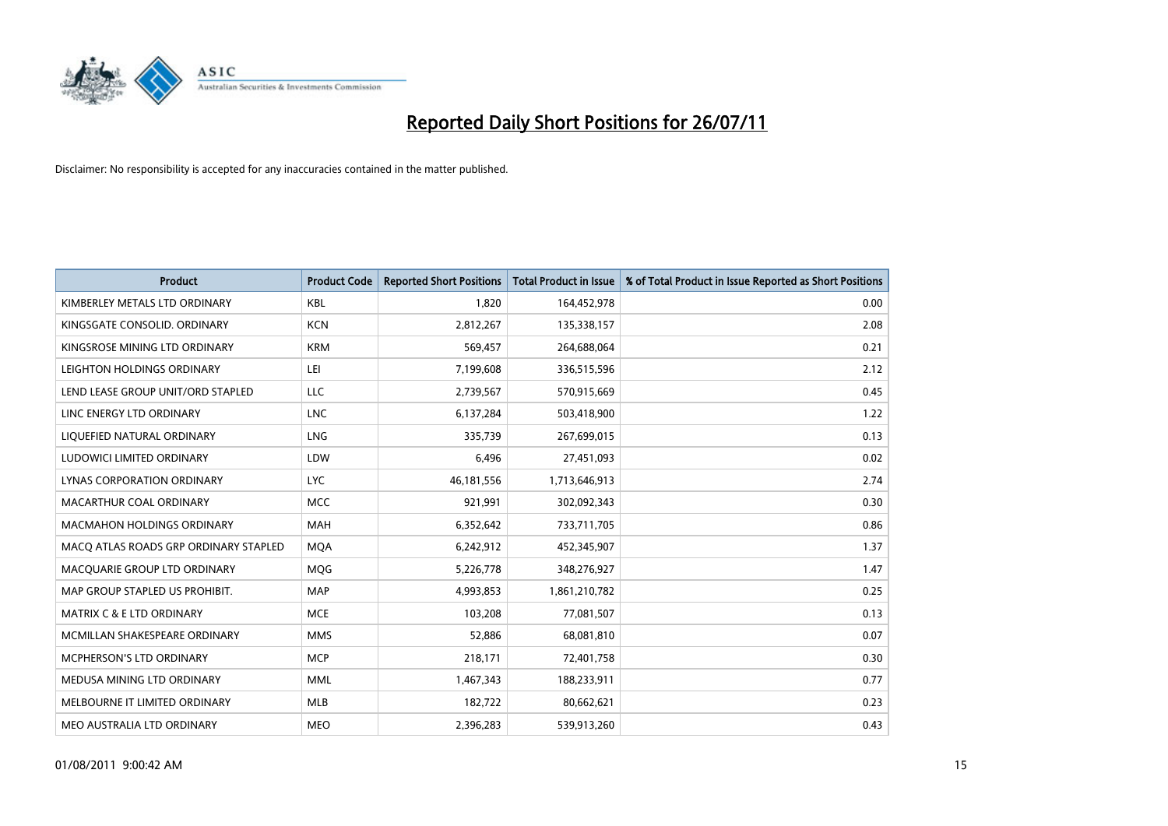

| <b>Product</b>                        | <b>Product Code</b> | <b>Reported Short Positions</b> | <b>Total Product in Issue</b> | % of Total Product in Issue Reported as Short Positions |
|---------------------------------------|---------------------|---------------------------------|-------------------------------|---------------------------------------------------------|
| KIMBERLEY METALS LTD ORDINARY         | <b>KBL</b>          | 1,820                           | 164,452,978                   | 0.00                                                    |
| KINGSGATE CONSOLID. ORDINARY          | <b>KCN</b>          | 2,812,267                       | 135,338,157                   | 2.08                                                    |
| KINGSROSE MINING LTD ORDINARY         | <b>KRM</b>          | 569,457                         | 264,688,064                   | 0.21                                                    |
| LEIGHTON HOLDINGS ORDINARY            | LEI                 | 7,199,608                       | 336,515,596                   | 2.12                                                    |
| LEND LEASE GROUP UNIT/ORD STAPLED     | LLC                 | 2,739,567                       | 570,915,669                   | 0.45                                                    |
| LINC ENERGY LTD ORDINARY              | <b>LNC</b>          | 6,137,284                       | 503,418,900                   | 1.22                                                    |
| LIQUEFIED NATURAL ORDINARY            | LNG                 | 335,739                         | 267,699,015                   | 0.13                                                    |
| LUDOWICI LIMITED ORDINARY             | LDW                 | 6,496                           | 27,451,093                    | 0.02                                                    |
| LYNAS CORPORATION ORDINARY            | <b>LYC</b>          | 46,181,556                      | 1,713,646,913                 | 2.74                                                    |
| MACARTHUR COAL ORDINARY               | <b>MCC</b>          | 921,991                         | 302,092,343                   | 0.30                                                    |
| MACMAHON HOLDINGS ORDINARY            | <b>MAH</b>          | 6,352,642                       | 733,711,705                   | 0.86                                                    |
| MACO ATLAS ROADS GRP ORDINARY STAPLED | <b>MQA</b>          | 6,242,912                       | 452,345,907                   | 1.37                                                    |
| MACQUARIE GROUP LTD ORDINARY          | <b>MOG</b>          | 5,226,778                       | 348,276,927                   | 1.47                                                    |
| MAP GROUP STAPLED US PROHIBIT.        | <b>MAP</b>          | 4,993,853                       | 1,861,210,782                 | 0.25                                                    |
| <b>MATRIX C &amp; E LTD ORDINARY</b>  | <b>MCE</b>          | 103,208                         | 77,081,507                    | 0.13                                                    |
| MCMILLAN SHAKESPEARE ORDINARY         | <b>MMS</b>          | 52,886                          | 68,081,810                    | 0.07                                                    |
| MCPHERSON'S LTD ORDINARY              | <b>MCP</b>          | 218,171                         | 72,401,758                    | 0.30                                                    |
| MEDUSA MINING LTD ORDINARY            | <b>MML</b>          | 1,467,343                       | 188,233,911                   | 0.77                                                    |
| MELBOURNE IT LIMITED ORDINARY         | <b>MLB</b>          | 182,722                         | 80,662,621                    | 0.23                                                    |
| MEO AUSTRALIA LTD ORDINARY            | <b>MEO</b>          | 2,396,283                       | 539,913,260                   | 0.43                                                    |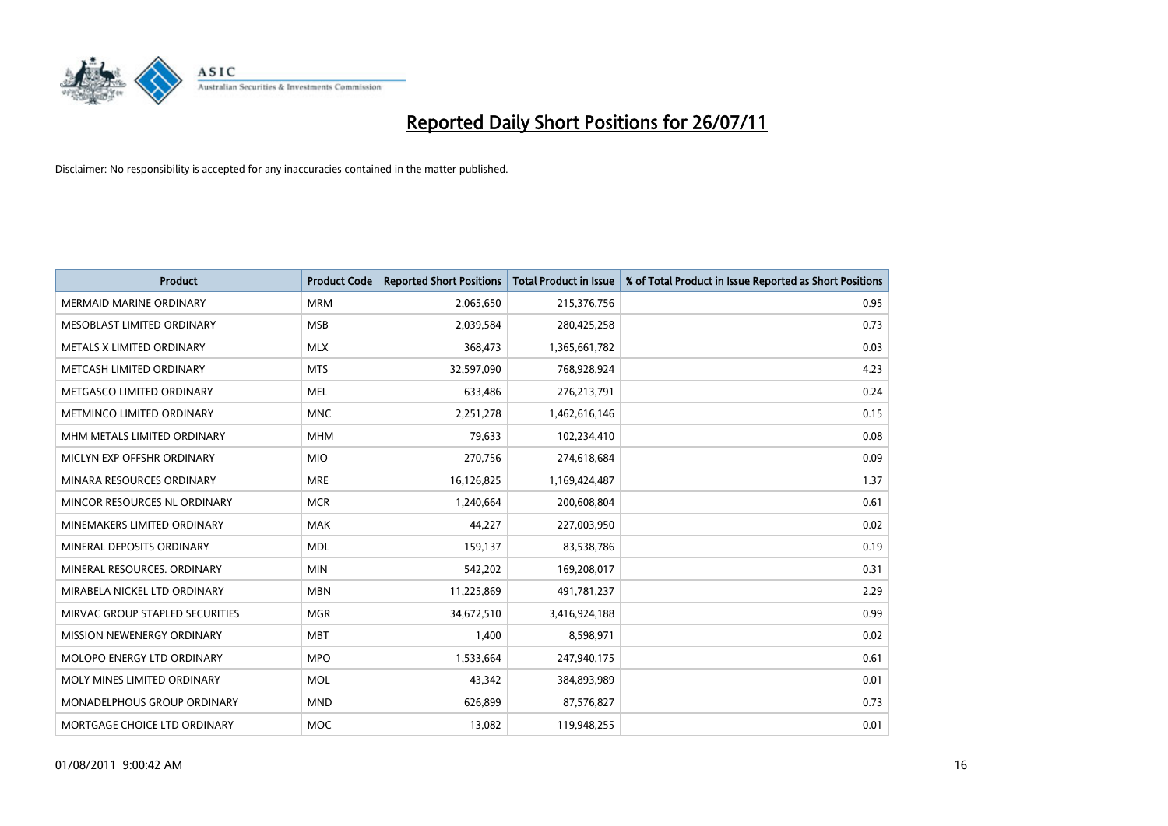

| <b>Product</b>                     | <b>Product Code</b> | <b>Reported Short Positions</b> | <b>Total Product in Issue</b> | % of Total Product in Issue Reported as Short Positions |
|------------------------------------|---------------------|---------------------------------|-------------------------------|---------------------------------------------------------|
| <b>MERMAID MARINE ORDINARY</b>     | <b>MRM</b>          | 2,065,650                       | 215,376,756                   | 0.95                                                    |
| MESOBLAST LIMITED ORDINARY         | <b>MSB</b>          | 2,039,584                       | 280,425,258                   | 0.73                                                    |
| METALS X LIMITED ORDINARY          | <b>MLX</b>          | 368,473                         | 1,365,661,782                 | 0.03                                                    |
| METCASH LIMITED ORDINARY           | <b>MTS</b>          | 32,597,090                      | 768,928,924                   | 4.23                                                    |
| METGASCO LIMITED ORDINARY          | <b>MEL</b>          | 633,486                         | 276,213,791                   | 0.24                                                    |
| METMINCO LIMITED ORDINARY          | <b>MNC</b>          | 2,251,278                       | 1,462,616,146                 | 0.15                                                    |
| MHM METALS LIMITED ORDINARY        | <b>MHM</b>          | 79.633                          | 102,234,410                   | 0.08                                                    |
| MICLYN EXP OFFSHR ORDINARY         | <b>MIO</b>          | 270,756                         | 274,618,684                   | 0.09                                                    |
| MINARA RESOURCES ORDINARY          | <b>MRE</b>          | 16,126,825                      | 1,169,424,487                 | 1.37                                                    |
| MINCOR RESOURCES NL ORDINARY       | <b>MCR</b>          | 1,240,664                       | 200,608,804                   | 0.61                                                    |
| MINEMAKERS LIMITED ORDINARY        | <b>MAK</b>          | 44,227                          | 227,003,950                   | 0.02                                                    |
| MINERAL DEPOSITS ORDINARY          | <b>MDL</b>          | 159,137                         | 83,538,786                    | 0.19                                                    |
| MINERAL RESOURCES, ORDINARY        | <b>MIN</b>          | 542,202                         | 169,208,017                   | 0.31                                                    |
| MIRABELA NICKEL LTD ORDINARY       | <b>MBN</b>          | 11,225,869                      | 491,781,237                   | 2.29                                                    |
| MIRVAC GROUP STAPLED SECURITIES    | <b>MGR</b>          | 34,672,510                      | 3,416,924,188                 | 0.99                                                    |
| MISSION NEWENERGY ORDINARY         | <b>MBT</b>          | 1,400                           | 8,598,971                     | 0.02                                                    |
| MOLOPO ENERGY LTD ORDINARY         | <b>MPO</b>          | 1,533,664                       | 247,940,175                   | 0.61                                                    |
| MOLY MINES LIMITED ORDINARY        | <b>MOL</b>          | 43,342                          | 384,893,989                   | 0.01                                                    |
| <b>MONADELPHOUS GROUP ORDINARY</b> | <b>MND</b>          | 626,899                         | 87,576,827                    | 0.73                                                    |
| MORTGAGE CHOICE LTD ORDINARY       | <b>MOC</b>          | 13,082                          | 119,948,255                   | 0.01                                                    |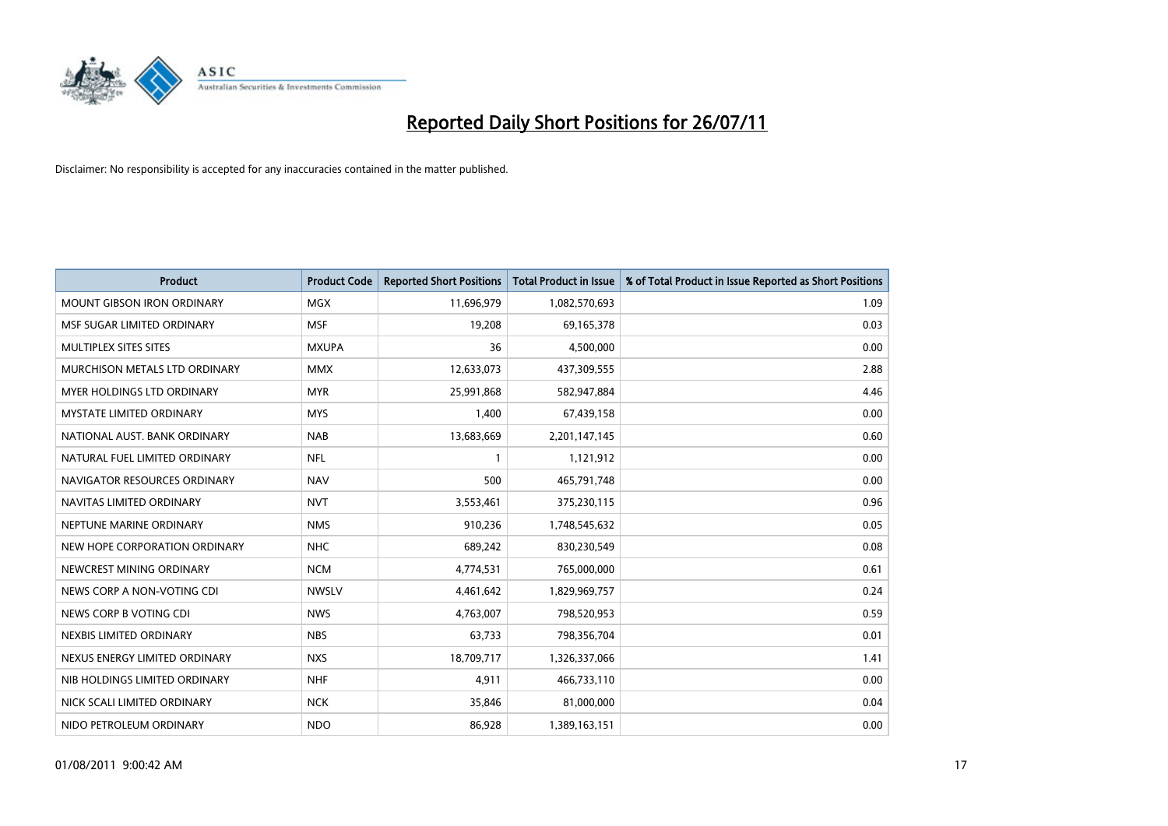

| <b>Product</b>                    | <b>Product Code</b> | <b>Reported Short Positions</b> | Total Product in Issue | % of Total Product in Issue Reported as Short Positions |
|-----------------------------------|---------------------|---------------------------------|------------------------|---------------------------------------------------------|
| <b>MOUNT GIBSON IRON ORDINARY</b> | <b>MGX</b>          | 11,696,979                      | 1,082,570,693          | 1.09                                                    |
| MSF SUGAR LIMITED ORDINARY        | <b>MSF</b>          | 19,208                          | 69,165,378             | 0.03                                                    |
| MULTIPLEX SITES SITES             | <b>MXUPA</b>        | 36                              | 4,500,000              | 0.00                                                    |
| MURCHISON METALS LTD ORDINARY     | <b>MMX</b>          | 12,633,073                      | 437,309,555            | 2.88                                                    |
| MYER HOLDINGS LTD ORDINARY        | <b>MYR</b>          | 25,991,868                      | 582,947,884            | 4.46                                                    |
| <b>MYSTATE LIMITED ORDINARY</b>   | <b>MYS</b>          | 1,400                           | 67,439,158             | 0.00                                                    |
| NATIONAL AUST. BANK ORDINARY      | <b>NAB</b>          | 13,683,669                      | 2,201,147,145          | 0.60                                                    |
| NATURAL FUEL LIMITED ORDINARY     | <b>NFL</b>          |                                 | 1,121,912              | 0.00                                                    |
| NAVIGATOR RESOURCES ORDINARY      | <b>NAV</b>          | 500                             | 465,791,748            | 0.00                                                    |
| NAVITAS LIMITED ORDINARY          | <b>NVT</b>          | 3,553,461                       | 375,230,115            | 0.96                                                    |
| NEPTUNE MARINE ORDINARY           | <b>NMS</b>          | 910,236                         | 1,748,545,632          | 0.05                                                    |
| NEW HOPE CORPORATION ORDINARY     | <b>NHC</b>          | 689,242                         | 830,230,549            | 0.08                                                    |
| NEWCREST MINING ORDINARY          | <b>NCM</b>          | 4,774,531                       | 765,000,000            | 0.61                                                    |
| NEWS CORP A NON-VOTING CDI        | <b>NWSLV</b>        | 4,461,642                       | 1,829,969,757          | 0.24                                                    |
| NEWS CORP B VOTING CDI            | <b>NWS</b>          | 4,763,007                       | 798,520,953            | 0.59                                                    |
| NEXBIS LIMITED ORDINARY           | <b>NBS</b>          | 63,733                          | 798,356,704            | 0.01                                                    |
| NEXUS ENERGY LIMITED ORDINARY     | <b>NXS</b>          | 18,709,717                      | 1,326,337,066          | 1.41                                                    |
| NIB HOLDINGS LIMITED ORDINARY     | <b>NHF</b>          | 4,911                           | 466,733,110            | 0.00                                                    |
| NICK SCALI LIMITED ORDINARY       | <b>NCK</b>          | 35,846                          | 81,000,000             | 0.04                                                    |
| NIDO PETROLEUM ORDINARY           | <b>NDO</b>          | 86,928                          | 1,389,163,151          | 0.00                                                    |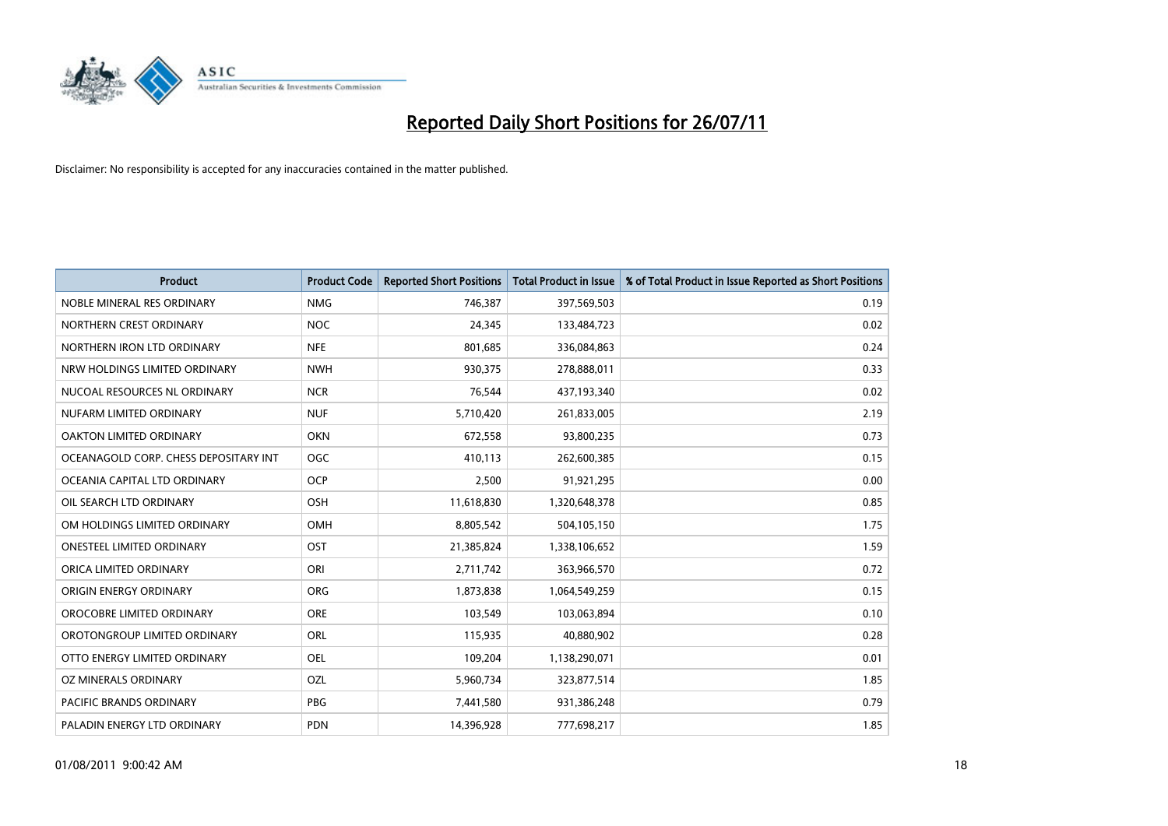

| <b>Product</b>                        | <b>Product Code</b> | <b>Reported Short Positions</b> | <b>Total Product in Issue</b> | % of Total Product in Issue Reported as Short Positions |
|---------------------------------------|---------------------|---------------------------------|-------------------------------|---------------------------------------------------------|
| NOBLE MINERAL RES ORDINARY            | <b>NMG</b>          | 746,387                         | 397,569,503                   | 0.19                                                    |
| NORTHERN CREST ORDINARY               | <b>NOC</b>          | 24,345                          | 133,484,723                   | 0.02                                                    |
| NORTHERN IRON LTD ORDINARY            | <b>NFE</b>          | 801,685                         | 336,084,863                   | 0.24                                                    |
| NRW HOLDINGS LIMITED ORDINARY         | <b>NWH</b>          | 930,375                         | 278,888,011                   | 0.33                                                    |
| NUCOAL RESOURCES NL ORDINARY          | <b>NCR</b>          | 76,544                          | 437,193,340                   | 0.02                                                    |
| NUFARM LIMITED ORDINARY               | <b>NUF</b>          | 5,710,420                       | 261,833,005                   | 2.19                                                    |
| OAKTON LIMITED ORDINARY               | <b>OKN</b>          | 672,558                         | 93,800,235                    | 0.73                                                    |
| OCEANAGOLD CORP. CHESS DEPOSITARY INT | <b>OGC</b>          | 410,113                         | 262,600,385                   | 0.15                                                    |
| OCEANIA CAPITAL LTD ORDINARY          | <b>OCP</b>          | 2,500                           | 91,921,295                    | 0.00                                                    |
| OIL SEARCH LTD ORDINARY               | <b>OSH</b>          | 11,618,830                      | 1,320,648,378                 | 0.85                                                    |
| OM HOLDINGS LIMITED ORDINARY          | <b>OMH</b>          | 8,805,542                       | 504,105,150                   | 1.75                                                    |
| <b>ONESTEEL LIMITED ORDINARY</b>      | OST                 | 21,385,824                      | 1,338,106,652                 | 1.59                                                    |
| ORICA LIMITED ORDINARY                | ORI                 | 2,711,742                       | 363,966,570                   | 0.72                                                    |
| ORIGIN ENERGY ORDINARY                | ORG                 | 1,873,838                       | 1,064,549,259                 | 0.15                                                    |
| OROCOBRE LIMITED ORDINARY             | <b>ORE</b>          | 103,549                         | 103,063,894                   | 0.10                                                    |
| OROTONGROUP LIMITED ORDINARY          | ORL                 | 115,935                         | 40,880,902                    | 0.28                                                    |
| OTTO ENERGY LIMITED ORDINARY          | OEL                 | 109,204                         | 1,138,290,071                 | 0.01                                                    |
| OZ MINERALS ORDINARY                  | <b>OZL</b>          | 5,960,734                       | 323,877,514                   | 1.85                                                    |
| <b>PACIFIC BRANDS ORDINARY</b>        | <b>PBG</b>          | 7,441,580                       | 931,386,248                   | 0.79                                                    |
| PALADIN ENERGY LTD ORDINARY           | PDN                 | 14,396,928                      | 777,698,217                   | 1.85                                                    |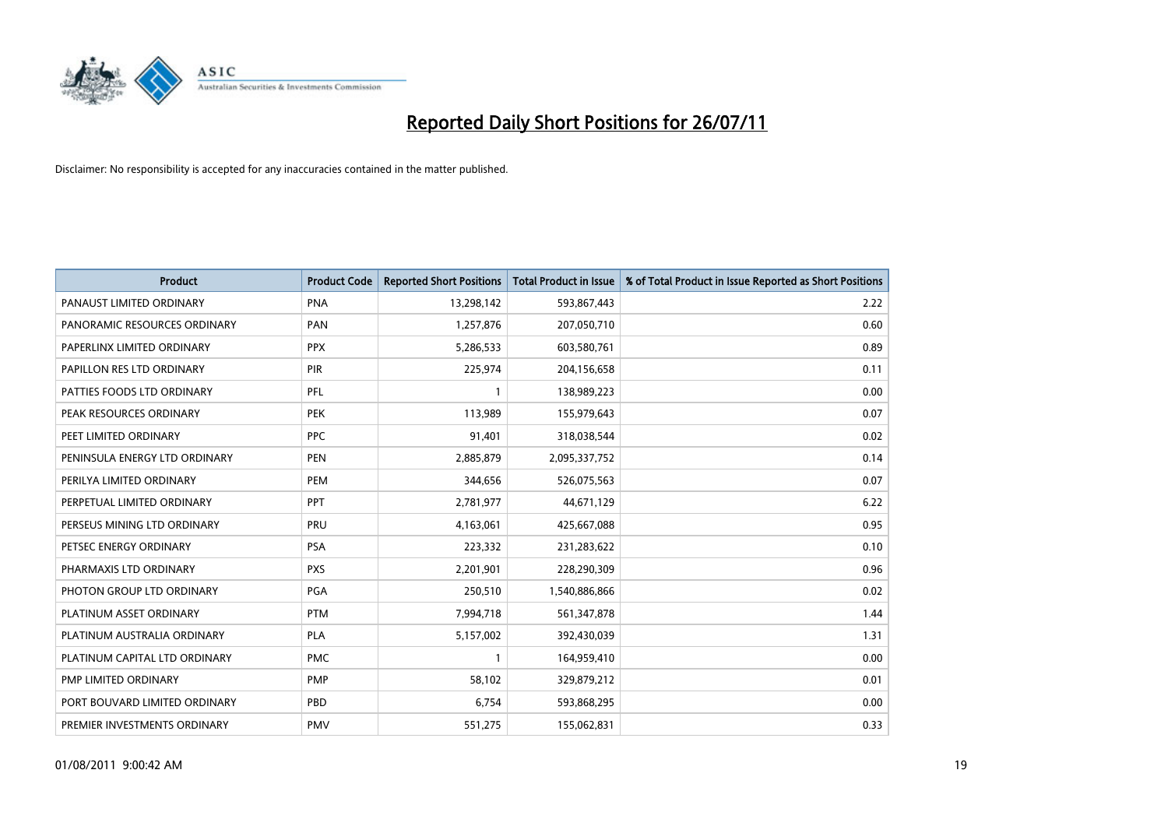

| <b>Product</b>                | <b>Product Code</b> | <b>Reported Short Positions</b> | Total Product in Issue | % of Total Product in Issue Reported as Short Positions |
|-------------------------------|---------------------|---------------------------------|------------------------|---------------------------------------------------------|
| PANAUST LIMITED ORDINARY      | <b>PNA</b>          | 13,298,142                      | 593,867,443            | 2.22                                                    |
| PANORAMIC RESOURCES ORDINARY  | PAN                 | 1,257,876                       | 207,050,710            | 0.60                                                    |
| PAPERLINX LIMITED ORDINARY    | <b>PPX</b>          | 5,286,533                       | 603,580,761            | 0.89                                                    |
| PAPILLON RES LTD ORDINARY     | PIR                 | 225,974                         | 204,156,658            | 0.11                                                    |
| PATTIES FOODS LTD ORDINARY    | PFL                 |                                 | 138,989,223            | 0.00                                                    |
| PEAK RESOURCES ORDINARY       | <b>PEK</b>          | 113,989                         | 155,979,643            | 0.07                                                    |
| PEET LIMITED ORDINARY         | <b>PPC</b>          | 91,401                          | 318,038,544            | 0.02                                                    |
| PENINSULA ENERGY LTD ORDINARY | <b>PEN</b>          | 2,885,879                       | 2,095,337,752          | 0.14                                                    |
| PERILYA LIMITED ORDINARY      | <b>PEM</b>          | 344,656                         | 526,075,563            | 0.07                                                    |
| PERPETUAL LIMITED ORDINARY    | PPT                 | 2,781,977                       | 44,671,129             | 6.22                                                    |
| PERSEUS MINING LTD ORDINARY   | PRU                 | 4,163,061                       | 425,667,088            | 0.95                                                    |
| PETSEC ENERGY ORDINARY        | <b>PSA</b>          | 223,332                         | 231,283,622            | 0.10                                                    |
| PHARMAXIS LTD ORDINARY        | <b>PXS</b>          | 2,201,901                       | 228,290,309            | 0.96                                                    |
| PHOTON GROUP LTD ORDINARY     | <b>PGA</b>          | 250,510                         | 1,540,886,866          | 0.02                                                    |
| PLATINUM ASSET ORDINARY       | <b>PTM</b>          | 7,994,718                       | 561,347,878            | 1.44                                                    |
| PLATINUM AUSTRALIA ORDINARY   | <b>PLA</b>          | 5,157,002                       | 392,430,039            | 1.31                                                    |
| PLATINUM CAPITAL LTD ORDINARY | <b>PMC</b>          |                                 | 164,959,410            | 0.00                                                    |
| PMP LIMITED ORDINARY          | <b>PMP</b>          | 58,102                          | 329,879,212            | 0.01                                                    |
| PORT BOUVARD LIMITED ORDINARY | PBD                 | 6,754                           | 593,868,295            | 0.00                                                    |
| PREMIER INVESTMENTS ORDINARY  | <b>PMV</b>          | 551,275                         | 155,062,831            | 0.33                                                    |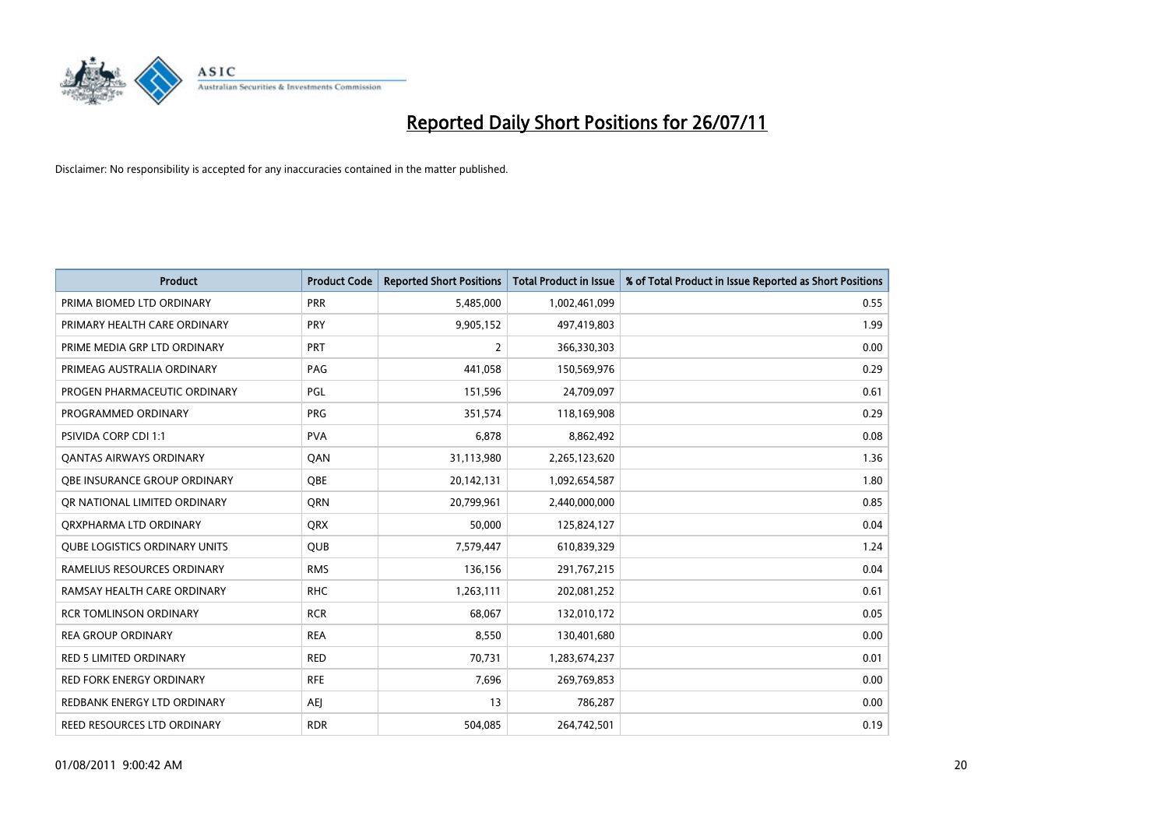

| <b>Product</b>                       | <b>Product Code</b> | <b>Reported Short Positions</b> | <b>Total Product in Issue</b> | % of Total Product in Issue Reported as Short Positions |
|--------------------------------------|---------------------|---------------------------------|-------------------------------|---------------------------------------------------------|
| PRIMA BIOMED LTD ORDINARY            | <b>PRR</b>          | 5,485,000                       | 1,002,461,099                 | 0.55                                                    |
| PRIMARY HEALTH CARE ORDINARY         | PRY                 | 9,905,152                       | 497,419,803                   | 1.99                                                    |
| PRIME MEDIA GRP LTD ORDINARY         | PRT                 | $\overline{2}$                  | 366,330,303                   | 0.00                                                    |
| PRIMEAG AUSTRALIA ORDINARY           | PAG                 | 441,058                         | 150,569,976                   | 0.29                                                    |
| PROGEN PHARMACEUTIC ORDINARY         | PGL                 | 151,596                         | 24,709,097                    | 0.61                                                    |
| PROGRAMMED ORDINARY                  | <b>PRG</b>          | 351,574                         | 118,169,908                   | 0.29                                                    |
| <b>PSIVIDA CORP CDI 1:1</b>          | <b>PVA</b>          | 6.878                           | 8,862,492                     | 0.08                                                    |
| <b>QANTAS AIRWAYS ORDINARY</b>       | QAN                 | 31,113,980                      | 2,265,123,620                 | 1.36                                                    |
| OBE INSURANCE GROUP ORDINARY         | <b>QBE</b>          | 20,142,131                      | 1,092,654,587                 | 1.80                                                    |
| OR NATIONAL LIMITED ORDINARY         | <b>ORN</b>          | 20,799,961                      | 2,440,000,000                 | 0.85                                                    |
| ORXPHARMA LTD ORDINARY               | <b>ORX</b>          | 50,000                          | 125,824,127                   | 0.04                                                    |
| <b>QUBE LOGISTICS ORDINARY UNITS</b> | <b>QUB</b>          | 7,579,447                       | 610,839,329                   | 1.24                                                    |
| RAMELIUS RESOURCES ORDINARY          | <b>RMS</b>          | 136,156                         | 291,767,215                   | 0.04                                                    |
| RAMSAY HEALTH CARE ORDINARY          | <b>RHC</b>          | 1,263,111                       | 202,081,252                   | 0.61                                                    |
| <b>RCR TOMLINSON ORDINARY</b>        | <b>RCR</b>          | 68,067                          | 132,010,172                   | 0.05                                                    |
| <b>REA GROUP ORDINARY</b>            | <b>REA</b>          | 8,550                           | 130,401,680                   | 0.00                                                    |
| <b>RED 5 LIMITED ORDINARY</b>        | <b>RED</b>          | 70,731                          | 1,283,674,237                 | 0.01                                                    |
| <b>RED FORK ENERGY ORDINARY</b>      | <b>RFE</b>          | 7,696                           | 269,769,853                   | 0.00                                                    |
| REDBANK ENERGY LTD ORDINARY          | <b>AEI</b>          | 13                              | 786,287                       | 0.00                                                    |
| REED RESOURCES LTD ORDINARY          | <b>RDR</b>          | 504,085                         | 264,742,501                   | 0.19                                                    |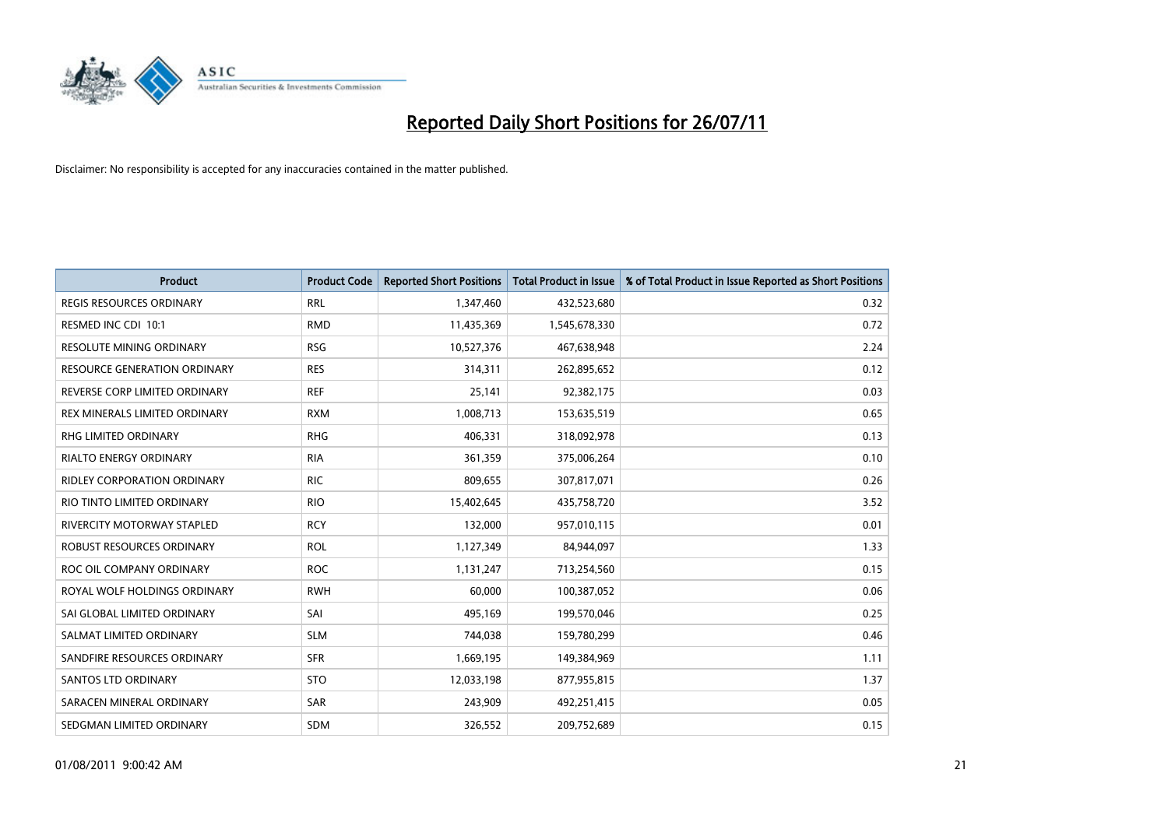

| <b>Product</b>                     | <b>Product Code</b> | <b>Reported Short Positions</b> | <b>Total Product in Issue</b> | % of Total Product in Issue Reported as Short Positions |
|------------------------------------|---------------------|---------------------------------|-------------------------------|---------------------------------------------------------|
| <b>REGIS RESOURCES ORDINARY</b>    | <b>RRL</b>          | 1,347,460                       | 432,523,680                   | 0.32                                                    |
| RESMED INC CDI 10:1                | <b>RMD</b>          | 11,435,369                      | 1,545,678,330                 | 0.72                                                    |
| RESOLUTE MINING ORDINARY           | <b>RSG</b>          | 10,527,376                      | 467,638,948                   | 2.24                                                    |
| RESOURCE GENERATION ORDINARY       | <b>RES</b>          | 314,311                         | 262,895,652                   | 0.12                                                    |
| REVERSE CORP LIMITED ORDINARY      | <b>REF</b>          | 25,141                          | 92,382,175                    | 0.03                                                    |
| REX MINERALS LIMITED ORDINARY      | <b>RXM</b>          | 1,008,713                       | 153,635,519                   | 0.65                                                    |
| <b>RHG LIMITED ORDINARY</b>        | <b>RHG</b>          | 406,331                         | 318,092,978                   | 0.13                                                    |
| <b>RIALTO ENERGY ORDINARY</b>      | <b>RIA</b>          | 361,359                         | 375,006,264                   | 0.10                                                    |
| <b>RIDLEY CORPORATION ORDINARY</b> | <b>RIC</b>          | 809,655                         | 307,817,071                   | 0.26                                                    |
| RIO TINTO LIMITED ORDINARY         | <b>RIO</b>          | 15,402,645                      | 435,758,720                   | 3.52                                                    |
| <b>RIVERCITY MOTORWAY STAPLED</b>  | <b>RCY</b>          | 132,000                         | 957,010,115                   | 0.01                                                    |
| ROBUST RESOURCES ORDINARY          | <b>ROL</b>          | 1,127,349                       | 84,944,097                    | 1.33                                                    |
| ROC OIL COMPANY ORDINARY           | <b>ROC</b>          | 1,131,247                       | 713,254,560                   | 0.15                                                    |
| ROYAL WOLF HOLDINGS ORDINARY       | <b>RWH</b>          | 60.000                          | 100,387,052                   | 0.06                                                    |
| SAI GLOBAL LIMITED ORDINARY        | SAI                 | 495,169                         | 199,570,046                   | 0.25                                                    |
| SALMAT LIMITED ORDINARY            | <b>SLM</b>          | 744,038                         | 159,780,299                   | 0.46                                                    |
| SANDFIRE RESOURCES ORDINARY        | <b>SFR</b>          | 1,669,195                       | 149,384,969                   | 1.11                                                    |
| <b>SANTOS LTD ORDINARY</b>         | <b>STO</b>          | 12,033,198                      | 877,955,815                   | 1.37                                                    |
| SARACEN MINERAL ORDINARY           | <b>SAR</b>          | 243,909                         | 492,251,415                   | 0.05                                                    |
| SEDGMAN LIMITED ORDINARY           | <b>SDM</b>          | 326,552                         | 209,752,689                   | 0.15                                                    |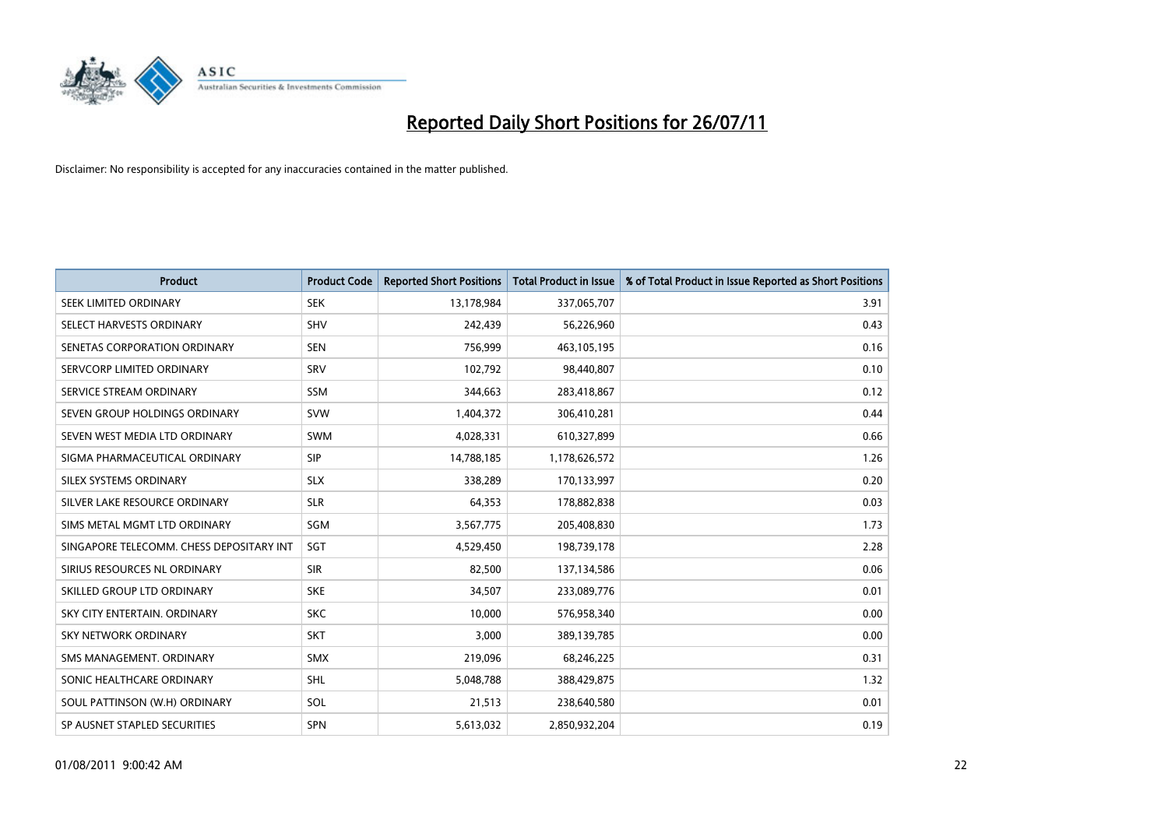

| <b>Product</b>                           | <b>Product Code</b> | <b>Reported Short Positions</b> | <b>Total Product in Issue</b> | % of Total Product in Issue Reported as Short Positions |
|------------------------------------------|---------------------|---------------------------------|-------------------------------|---------------------------------------------------------|
| SEEK LIMITED ORDINARY                    | <b>SEK</b>          | 13,178,984                      | 337,065,707                   | 3.91                                                    |
| SELECT HARVESTS ORDINARY                 | <b>SHV</b>          | 242,439                         | 56,226,960                    | 0.43                                                    |
| SENETAS CORPORATION ORDINARY             | <b>SEN</b>          | 756,999                         | 463,105,195                   | 0.16                                                    |
| SERVCORP LIMITED ORDINARY                | SRV                 | 102,792                         | 98,440,807                    | 0.10                                                    |
| SERVICE STREAM ORDINARY                  | <b>SSM</b>          | 344,663                         | 283,418,867                   | 0.12                                                    |
| SEVEN GROUP HOLDINGS ORDINARY            | <b>SVW</b>          | 1,404,372                       | 306,410,281                   | 0.44                                                    |
| SEVEN WEST MEDIA LTD ORDINARY            | SWM                 | 4,028,331                       | 610,327,899                   | 0.66                                                    |
| SIGMA PHARMACEUTICAL ORDINARY            | SIP                 | 14,788,185                      | 1,178,626,572                 | 1.26                                                    |
| SILEX SYSTEMS ORDINARY                   | <b>SLX</b>          | 338,289                         | 170,133,997                   | 0.20                                                    |
| SILVER LAKE RESOURCE ORDINARY            | <b>SLR</b>          | 64,353                          | 178,882,838                   | 0.03                                                    |
| SIMS METAL MGMT LTD ORDINARY             | SGM                 | 3,567,775                       | 205,408,830                   | 1.73                                                    |
| SINGAPORE TELECOMM. CHESS DEPOSITARY INT | SGT                 | 4,529,450                       | 198,739,178                   | 2.28                                                    |
| SIRIUS RESOURCES NL ORDINARY             | <b>SIR</b>          | 82,500                          | 137,134,586                   | 0.06                                                    |
| SKILLED GROUP LTD ORDINARY               | <b>SKE</b>          | 34,507                          | 233,089,776                   | 0.01                                                    |
| SKY CITY ENTERTAIN, ORDINARY             | <b>SKC</b>          | 10,000                          | 576,958,340                   | 0.00                                                    |
| <b>SKY NETWORK ORDINARY</b>              | <b>SKT</b>          | 3,000                           | 389,139,785                   | 0.00                                                    |
| SMS MANAGEMENT. ORDINARY                 | <b>SMX</b>          | 219,096                         | 68,246,225                    | 0.31                                                    |
| SONIC HEALTHCARE ORDINARY                | <b>SHL</b>          | 5,048,788                       | 388,429,875                   | 1.32                                                    |
| SOUL PATTINSON (W.H) ORDINARY            | SOL                 | 21,513                          | 238,640,580                   | 0.01                                                    |
| SP AUSNET STAPLED SECURITIES             | <b>SPN</b>          | 5,613,032                       | 2,850,932,204                 | 0.19                                                    |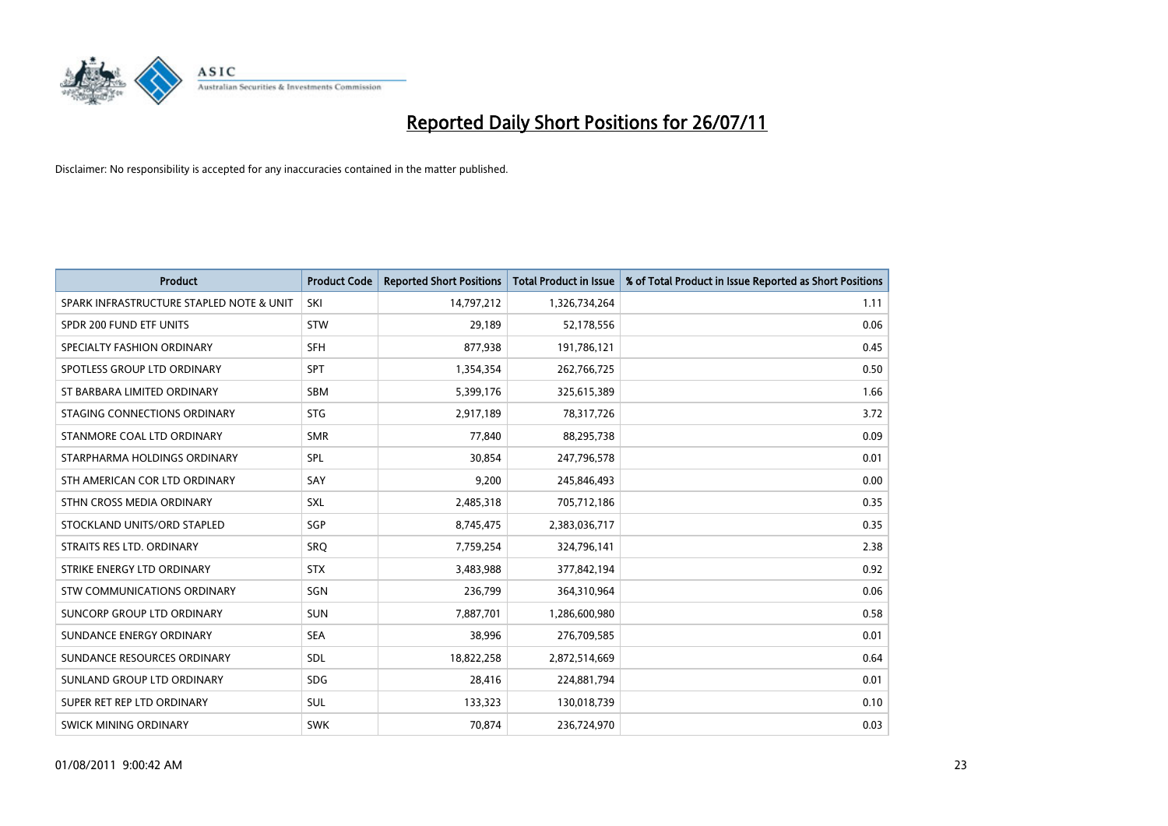

| <b>Product</b>                           | <b>Product Code</b> | <b>Reported Short Positions</b> | <b>Total Product in Issue</b> | % of Total Product in Issue Reported as Short Positions |
|------------------------------------------|---------------------|---------------------------------|-------------------------------|---------------------------------------------------------|
| SPARK INFRASTRUCTURE STAPLED NOTE & UNIT | SKI                 | 14,797,212                      | 1,326,734,264                 | 1.11                                                    |
| SPDR 200 FUND ETF UNITS                  | <b>STW</b>          | 29,189                          | 52,178,556                    | 0.06                                                    |
| SPECIALTY FASHION ORDINARY               | <b>SFH</b>          | 877,938                         | 191,786,121                   | 0.45                                                    |
| SPOTLESS GROUP LTD ORDINARY              | <b>SPT</b>          | 1,354,354                       | 262,766,725                   | 0.50                                                    |
| ST BARBARA LIMITED ORDINARY              | <b>SBM</b>          | 5,399,176                       | 325,615,389                   | 1.66                                                    |
| STAGING CONNECTIONS ORDINARY             | <b>STG</b>          | 2,917,189                       | 78,317,726                    | 3.72                                                    |
| STANMORE COAL LTD ORDINARY               | <b>SMR</b>          | 77,840                          | 88,295,738                    | 0.09                                                    |
| STARPHARMA HOLDINGS ORDINARY             | SPL                 | 30,854                          | 247,796,578                   | 0.01                                                    |
| STH AMERICAN COR LTD ORDINARY            | SAY                 | 9,200                           | 245,846,493                   | 0.00                                                    |
| STHN CROSS MEDIA ORDINARY                | SXL                 | 2,485,318                       | 705,712,186                   | 0.35                                                    |
| STOCKLAND UNITS/ORD STAPLED              | <b>SGP</b>          | 8,745,475                       | 2,383,036,717                 | 0.35                                                    |
| STRAITS RES LTD. ORDINARY                | <b>SRO</b>          | 7,759,254                       | 324,796,141                   | 2.38                                                    |
| STRIKE ENERGY LTD ORDINARY               | <b>STX</b>          | 3,483,988                       | 377,842,194                   | 0.92                                                    |
| <b>STW COMMUNICATIONS ORDINARY</b>       | SGN                 | 236,799                         | 364,310,964                   | 0.06                                                    |
| SUNCORP GROUP LTD ORDINARY               | <b>SUN</b>          | 7,887,701                       | 1,286,600,980                 | 0.58                                                    |
| SUNDANCE ENERGY ORDINARY                 | <b>SEA</b>          | 38,996                          | 276,709,585                   | 0.01                                                    |
| SUNDANCE RESOURCES ORDINARY              | <b>SDL</b>          | 18,822,258                      | 2,872,514,669                 | 0.64                                                    |
| SUNLAND GROUP LTD ORDINARY               | <b>SDG</b>          | 28,416                          | 224,881,794                   | 0.01                                                    |
| SUPER RET REP LTD ORDINARY               | <b>SUL</b>          | 133,323                         | 130,018,739                   | 0.10                                                    |
| <b>SWICK MINING ORDINARY</b>             | <b>SWK</b>          | 70,874                          | 236,724,970                   | 0.03                                                    |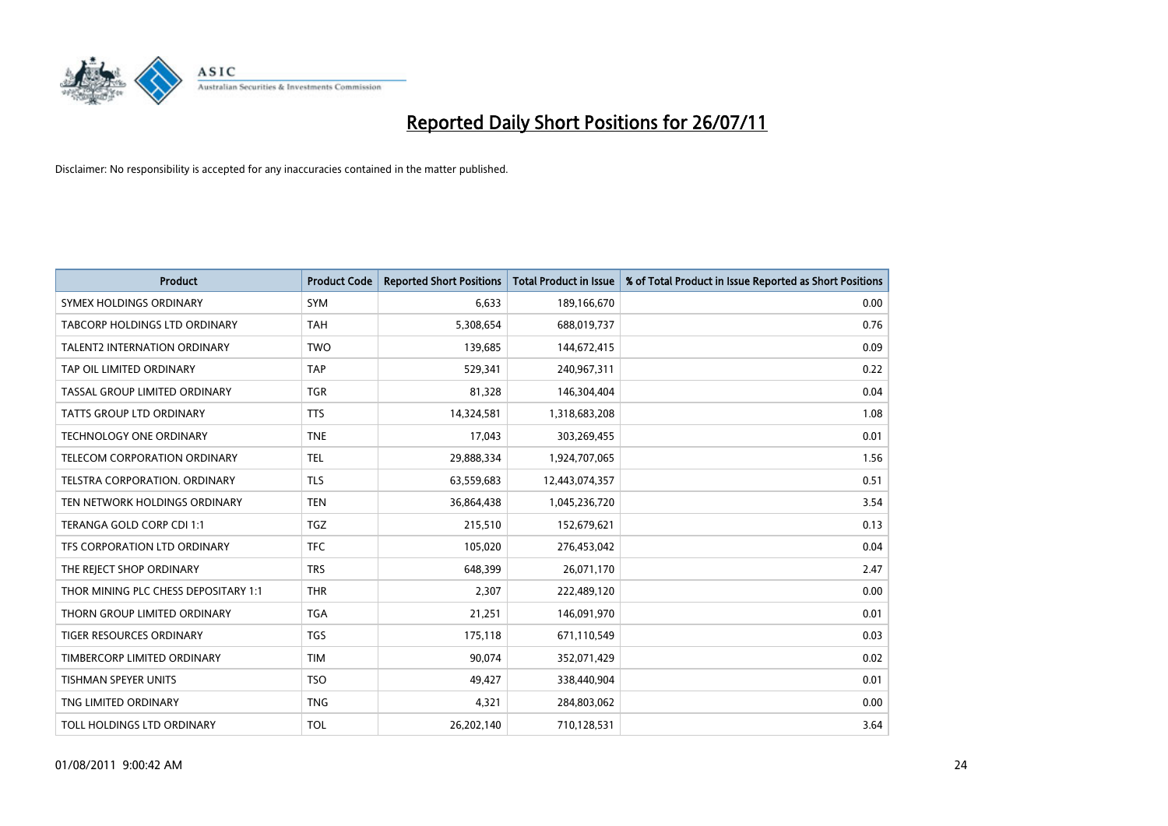

| <b>Product</b>                       | <b>Product Code</b> | <b>Reported Short Positions</b> | Total Product in Issue | % of Total Product in Issue Reported as Short Positions |
|--------------------------------------|---------------------|---------------------------------|------------------------|---------------------------------------------------------|
| SYMEX HOLDINGS ORDINARY              | <b>SYM</b>          | 6,633                           | 189,166,670            | 0.00                                                    |
| TABCORP HOLDINGS LTD ORDINARY        | <b>TAH</b>          | 5,308,654                       | 688,019,737            | 0.76                                                    |
| <b>TALENT2 INTERNATION ORDINARY</b>  | <b>TWO</b>          | 139,685                         | 144,672,415            | 0.09                                                    |
| TAP OIL LIMITED ORDINARY             | <b>TAP</b>          | 529,341                         | 240,967,311            | 0.22                                                    |
| TASSAL GROUP LIMITED ORDINARY        | <b>TGR</b>          | 81,328                          | 146,304,404            | 0.04                                                    |
| <b>TATTS GROUP LTD ORDINARY</b>      | <b>TTS</b>          | 14,324,581                      | 1,318,683,208          | 1.08                                                    |
| <b>TECHNOLOGY ONE ORDINARY</b>       | <b>TNE</b>          | 17.043                          | 303,269,455            | 0.01                                                    |
| TELECOM CORPORATION ORDINARY         | <b>TEL</b>          | 29,888,334                      | 1,924,707,065          | 1.56                                                    |
| TELSTRA CORPORATION. ORDINARY        | <b>TLS</b>          | 63,559,683                      | 12,443,074,357         | 0.51                                                    |
| TEN NETWORK HOLDINGS ORDINARY        | <b>TEN</b>          | 36,864,438                      | 1,045,236,720          | 3.54                                                    |
| TERANGA GOLD CORP CDI 1:1            | <b>TGZ</b>          | 215,510                         | 152,679,621            | 0.13                                                    |
| TFS CORPORATION LTD ORDINARY         | <b>TFC</b>          | 105,020                         | 276,453,042            | 0.04                                                    |
| THE REJECT SHOP ORDINARY             | <b>TRS</b>          | 648,399                         | 26,071,170             | 2.47                                                    |
| THOR MINING PLC CHESS DEPOSITARY 1:1 | <b>THR</b>          | 2,307                           | 222,489,120            | 0.00                                                    |
| THORN GROUP LIMITED ORDINARY         | <b>TGA</b>          | 21,251                          | 146,091,970            | 0.01                                                    |
| TIGER RESOURCES ORDINARY             | <b>TGS</b>          | 175,118                         | 671,110,549            | 0.03                                                    |
| TIMBERCORP LIMITED ORDINARY          | <b>TIM</b>          | 90,074                          | 352,071,429            | 0.02                                                    |
| TISHMAN SPEYER UNITS                 | <b>TSO</b>          | 49,427                          | 338,440,904            | 0.01                                                    |
| TNG LIMITED ORDINARY                 | <b>TNG</b>          | 4,321                           | 284,803,062            | 0.00                                                    |
| <b>TOLL HOLDINGS LTD ORDINARY</b>    | <b>TOL</b>          | 26,202,140                      | 710,128,531            | 3.64                                                    |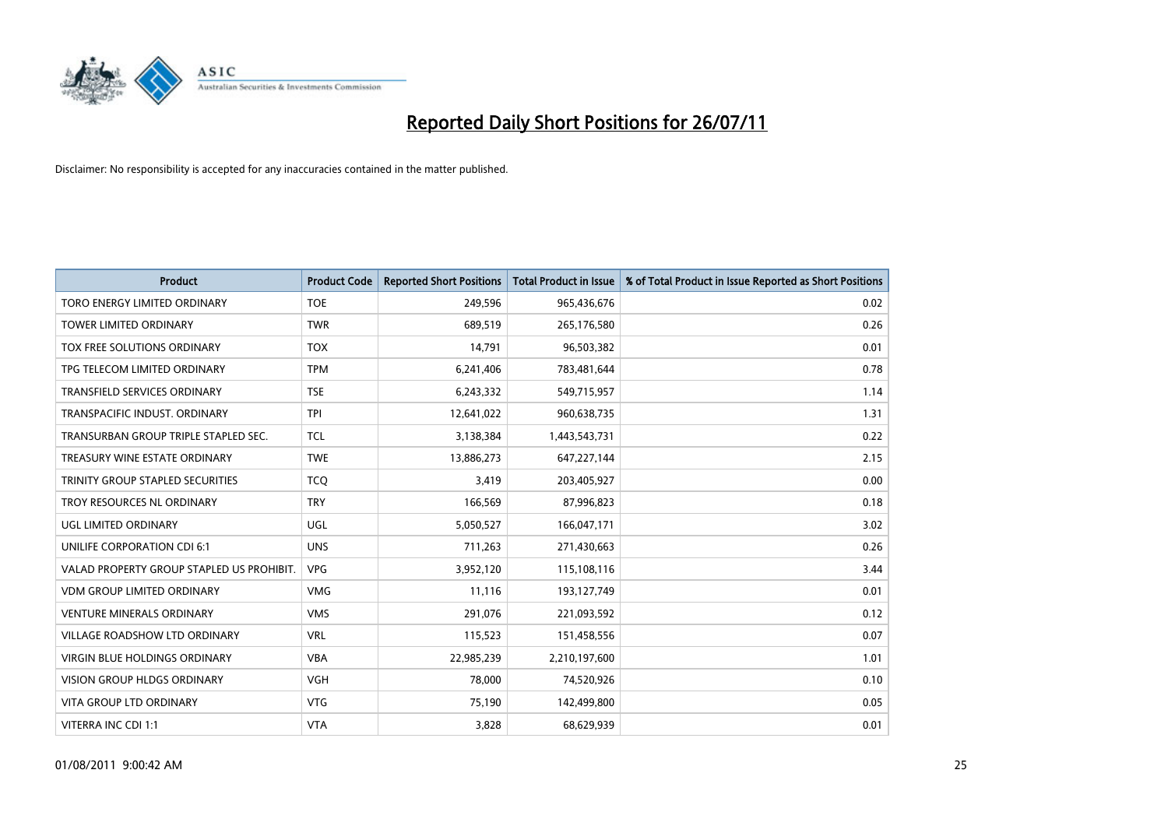

| <b>Product</b>                            | <b>Product Code</b> | <b>Reported Short Positions</b> | Total Product in Issue | % of Total Product in Issue Reported as Short Positions |
|-------------------------------------------|---------------------|---------------------------------|------------------------|---------------------------------------------------------|
| TORO ENERGY LIMITED ORDINARY              | <b>TOE</b>          | 249,596                         | 965,436,676            | 0.02                                                    |
| TOWER LIMITED ORDINARY                    | <b>TWR</b>          | 689,519                         | 265,176,580            | 0.26                                                    |
| TOX FREE SOLUTIONS ORDINARY               | <b>TOX</b>          | 14,791                          | 96,503,382             | 0.01                                                    |
| TPG TELECOM LIMITED ORDINARY              | <b>TPM</b>          | 6,241,406                       | 783,481,644            | 0.78                                                    |
| <b>TRANSFIELD SERVICES ORDINARY</b>       | <b>TSE</b>          | 6,243,332                       | 549,715,957            | 1.14                                                    |
| TRANSPACIFIC INDUST, ORDINARY             | <b>TPI</b>          | 12,641,022                      | 960,638,735            | 1.31                                                    |
| TRANSURBAN GROUP TRIPLE STAPLED SEC.      | <b>TCL</b>          | 3,138,384                       | 1,443,543,731          | 0.22                                                    |
| TREASURY WINE ESTATE ORDINARY             | <b>TWE</b>          | 13,886,273                      | 647,227,144            | 2.15                                                    |
| TRINITY GROUP STAPLED SECURITIES          | <b>TCO</b>          | 3,419                           | 203,405,927            | 0.00                                                    |
| TROY RESOURCES NL ORDINARY                | <b>TRY</b>          | 166,569                         | 87,996,823             | 0.18                                                    |
| UGL LIMITED ORDINARY                      | UGL                 | 5,050,527                       | 166,047,171            | 3.02                                                    |
| UNILIFE CORPORATION CDI 6:1               | <b>UNS</b>          | 711,263                         | 271,430,663            | 0.26                                                    |
| VALAD PROPERTY GROUP STAPLED US PROHIBIT. | <b>VPG</b>          | 3,952,120                       | 115,108,116            | 3.44                                                    |
| <b>VDM GROUP LIMITED ORDINARY</b>         | <b>VMG</b>          | 11,116                          | 193,127,749            | 0.01                                                    |
| <b>VENTURE MINERALS ORDINARY</b>          | <b>VMS</b>          | 291,076                         | 221,093,592            | 0.12                                                    |
| VILLAGE ROADSHOW LTD ORDINARY             | <b>VRL</b>          | 115,523                         | 151,458,556            | 0.07                                                    |
| VIRGIN BLUE HOLDINGS ORDINARY             | <b>VBA</b>          | 22,985,239                      | 2,210,197,600          | 1.01                                                    |
| VISION GROUP HLDGS ORDINARY               | <b>VGH</b>          | 78,000                          | 74,520,926             | 0.10                                                    |
| <b>VITA GROUP LTD ORDINARY</b>            | <b>VTG</b>          | 75,190                          | 142,499,800            | 0.05                                                    |
| VITERRA INC CDI 1:1                       | <b>VTA</b>          | 3,828                           | 68,629,939             | 0.01                                                    |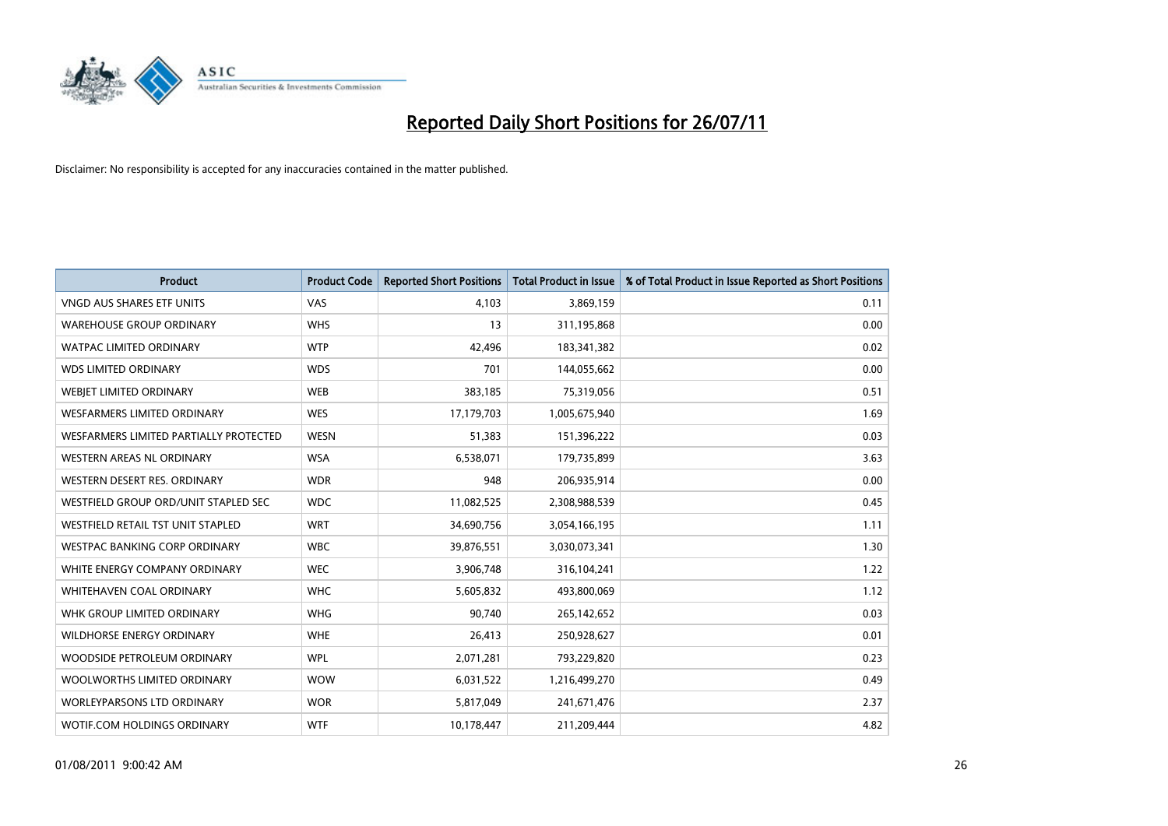

| <b>Product</b>                         | <b>Product Code</b> | <b>Reported Short Positions</b> | <b>Total Product in Issue</b> | % of Total Product in Issue Reported as Short Positions |
|----------------------------------------|---------------------|---------------------------------|-------------------------------|---------------------------------------------------------|
| <b>VNGD AUS SHARES ETF UNITS</b>       | VAS                 | 4,103                           | 3,869,159                     | 0.11                                                    |
| <b>WAREHOUSE GROUP ORDINARY</b>        | <b>WHS</b>          | 13                              | 311,195,868                   | 0.00                                                    |
| <b>WATPAC LIMITED ORDINARY</b>         | <b>WTP</b>          | 42,496                          | 183,341,382                   | 0.02                                                    |
| <b>WDS LIMITED ORDINARY</b>            | <b>WDS</b>          | 701                             | 144,055,662                   | 0.00                                                    |
| WEBIET LIMITED ORDINARY                | <b>WEB</b>          | 383,185                         | 75,319,056                    | 0.51                                                    |
| <b>WESFARMERS LIMITED ORDINARY</b>     | <b>WES</b>          | 17,179,703                      | 1,005,675,940                 | 1.69                                                    |
| WESFARMERS LIMITED PARTIALLY PROTECTED | <b>WESN</b>         | 51,383                          | 151,396,222                   | 0.03                                                    |
| <b>WESTERN AREAS NL ORDINARY</b>       | <b>WSA</b>          | 6,538,071                       | 179,735,899                   | 3.63                                                    |
| WESTERN DESERT RES. ORDINARY           | <b>WDR</b>          | 948                             | 206,935,914                   | 0.00                                                    |
| WESTFIELD GROUP ORD/UNIT STAPLED SEC   | <b>WDC</b>          | 11,082,525                      | 2,308,988,539                 | 0.45                                                    |
| WESTFIELD RETAIL TST UNIT STAPLED      | <b>WRT</b>          | 34,690,756                      | 3,054,166,195                 | 1.11                                                    |
| <b>WESTPAC BANKING CORP ORDINARY</b>   | <b>WBC</b>          | 39,876,551                      | 3,030,073,341                 | 1.30                                                    |
| WHITE ENERGY COMPANY ORDINARY          | <b>WEC</b>          | 3,906,748                       | 316,104,241                   | 1.22                                                    |
| <b>WHITEHAVEN COAL ORDINARY</b>        | <b>WHC</b>          | 5,605,832                       | 493,800,069                   | 1.12                                                    |
| WHK GROUP LIMITED ORDINARY             | <b>WHG</b>          | 90,740                          | 265,142,652                   | 0.03                                                    |
| WILDHORSE ENERGY ORDINARY              | <b>WHE</b>          | 26,413                          | 250,928,627                   | 0.01                                                    |
| WOODSIDE PETROLEUM ORDINARY            | <b>WPL</b>          | 2,071,281                       | 793,229,820                   | 0.23                                                    |
| WOOLWORTHS LIMITED ORDINARY            | <b>WOW</b>          | 6,031,522                       | 1,216,499,270                 | 0.49                                                    |
| <b>WORLEYPARSONS LTD ORDINARY</b>      | <b>WOR</b>          | 5,817,049                       | 241,671,476                   | 2.37                                                    |
| WOTIF.COM HOLDINGS ORDINARY            | <b>WTF</b>          | 10,178,447                      | 211,209,444                   | 4.82                                                    |